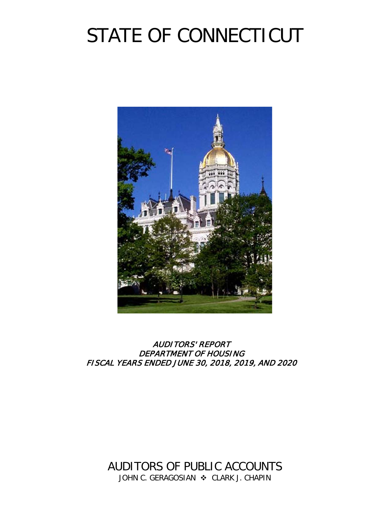# STATE OF CONNECTICUT



# AUDITORS' REPORT DEPARTMENT OF HOUSING FISCAL YEARS ENDED JUNE 30, 2018, 2019, AND 2020

AUDITORS OF PUBLIC ACCOUNTS JOHN C. GERAGOSIAN  $\cdot$  CLARK J. CHAPIN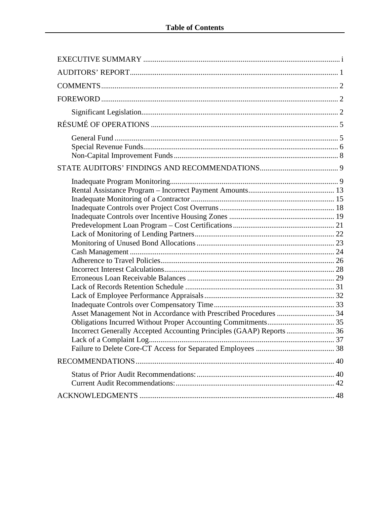| Asset Management Not in Accordance with Prescribed Procedures  34<br>Incorrect Generally Accepted Accounting Principles (GAAP) Reports  36 |  |
|--------------------------------------------------------------------------------------------------------------------------------------------|--|
|                                                                                                                                            |  |
|                                                                                                                                            |  |
|                                                                                                                                            |  |
|                                                                                                                                            |  |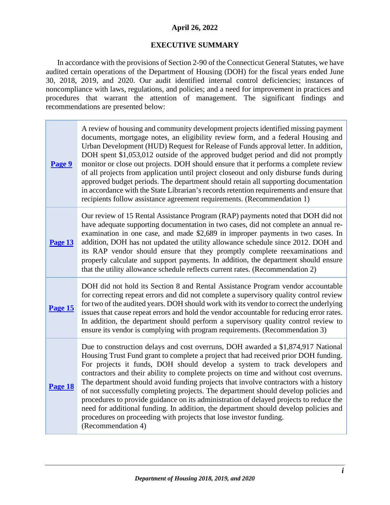# **April 26, 2022**

# **EXECUTIVE SUMMARY**

<span id="page-2-0"></span>In accordance with the provisions of Section 2-90 of the Connecticut General Statutes, we have audited certain operations of the Department of Housing (DOH) for the fiscal years ended June 30, 2018, 2019, and 2020. Our audit identified internal control deficiencies; instances of noncompliance with laws, regulations, and policies; and a need for improvement in practices and procedures that warrant the attention of management. The significant findings and recommendations are presented below:

| Page 9         | A review of housing and community development projects identified missing payment<br>documents, mortgage notes, an eligibility review form, and a federal Housing and<br>Urban Development (HUD) Request for Release of Funds approval letter. In addition,<br>DOH spent \$1,053,012 outside of the approved budget period and did not promptly<br>monitor or close out projects. DOH should ensure that it performs a complete review<br>of all projects from application until project closeout and only disburse funds during<br>approved budget periods. The department should retain all supporting documentation<br>in accordance with the State Librarian's records retention requirements and ensure that<br>recipients follow assistance agreement requirements. (Recommendation 1)                |
|----------------|-------------------------------------------------------------------------------------------------------------------------------------------------------------------------------------------------------------------------------------------------------------------------------------------------------------------------------------------------------------------------------------------------------------------------------------------------------------------------------------------------------------------------------------------------------------------------------------------------------------------------------------------------------------------------------------------------------------------------------------------------------------------------------------------------------------|
| <b>Page 13</b> | Our review of 15 Rental Assistance Program (RAP) payments noted that DOH did not<br>have adequate supporting documentation in two cases, did not complete an annual re-<br>examination in one case, and made \$2,689 in improper payments in two cases. In<br>addition, DOH has not updated the utility allowance schedule since 2012. DOH and<br>its RAP vendor should ensure that they promptly complete reexaminations and<br>properly calculate and support payments. In addition, the department should ensure<br>that the utility allowance schedule reflects current rates. (Recommendation 2)                                                                                                                                                                                                       |
| Page 15        | DOH did not hold its Section 8 and Rental Assistance Program vendor accountable<br>for correcting repeat errors and did not complete a supervisory quality control review<br>for two of the audited years. DOH should work with its vendor to correct the underlying<br>issues that cause repeat errors and hold the vendor accountable for reducing error rates.<br>In addition, the department should perform a supervisory quality control review to<br>ensure its vendor is complying with program requirements. (Recommendation 3)                                                                                                                                                                                                                                                                     |
| Page 18        | Due to construction delays and cost overruns, DOH awarded a \$1,874,917 National<br>Housing Trust Fund grant to complete a project that had received prior DOH funding.<br>For projects it funds, DOH should develop a system to track developers and<br>contractors and their ability to complete projects on time and without cost overruns.<br>The department should avoid funding projects that involve contractors with a history<br>of not successfully completing projects. The department should develop policies and<br>procedures to provide guidance on its administration of delayed projects to reduce the<br>need for additional funding. In addition, the department should develop policies and<br>procedures on proceeding with projects that lose investor funding.<br>(Recommendation 4) |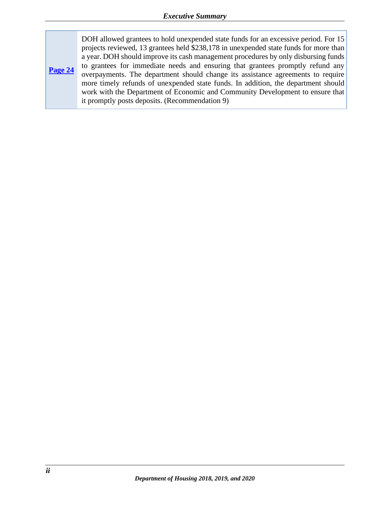**[Page 24](#page-27-0)** DOH allowed grantees to hold unexpended state funds for an excessive period. For 15 projects reviewed, 13 grantees held \$238,178 in unexpended state funds for more than a year. DOH should improve its cash management procedures by only disbursing funds to grantees for immediate needs and ensuring that grantees promptly refund any overpayments. The department should change its assistance agreements to require more timely refunds of unexpended state funds. In addition, the department should work with the Department of Economic and Community Development to ensure that it promptly posts deposits. (Recommendation 9)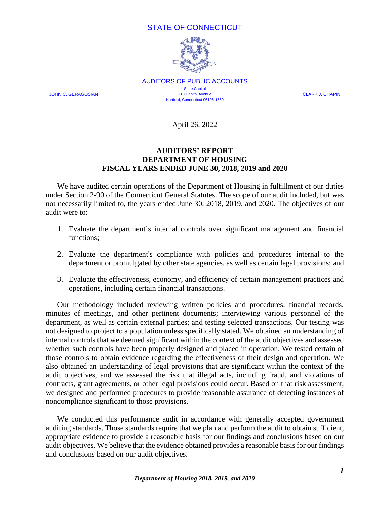# STATE OF CONNECTICUT



AUDITORS OF PUBLIC ACCOUNTS **State Capitol** JOHN C. GERAGOSIAN 210 Capitol Avenue CLARK J. CHAPIN Hartford, Connecticut 06106-1559

April 26, 2022

# **AUDITORS' REPORT DEPARTMENT OF HOUSING FISCAL YEARS ENDED JUNE 30, 2018, 2019 and 2020**

<span id="page-4-0"></span>We have audited certain operations of the Department of Housing in fulfillment of our duties under Section 2-90 of the Connecticut General Statutes. The scope of our audit included, but was not necessarily limited to, the years ended June 30, 2018, 2019, and 2020. The objectives of our audit were to:

- 1. Evaluate the department's internal controls over significant management and financial functions;
- 2. Evaluate the department's compliance with policies and procedures internal to the department or promulgated by other state agencies, as well as certain legal provisions; and
- 3. Evaluate the effectiveness, economy, and efficiency of certain management practices and operations, including certain financial transactions.

Our methodology included reviewing written policies and procedures, financial records, minutes of meetings, and other pertinent documents; interviewing various personnel of the department, as well as certain external parties; and testing selected transactions. Our testing was not designed to project to a population unless specifically stated. We obtained an understanding of internal controls that we deemed significant within the context of the audit objectives and assessed whether such controls have been properly designed and placed in operation. We tested certain of those controls to obtain evidence regarding the effectiveness of their design and operation. We also obtained an understanding of legal provisions that are significant within the context of the audit objectives, and we assessed the risk that illegal acts, including fraud, and violations of contracts, grant agreements, or other legal provisions could occur. Based on that risk assessment, we designed and performed procedures to provide reasonable assurance of detecting instances of noncompliance significant to those provisions.

We conducted this performance audit in accordance with generally accepted government auditing standards. Those standards require that we plan and perform the audit to obtain sufficient, appropriate evidence to provide a reasonable basis for our findings and conclusions based on our audit objectives. We believe that the evidence obtained provides a reasonable basis for our findings and conclusions based on our audit objectives.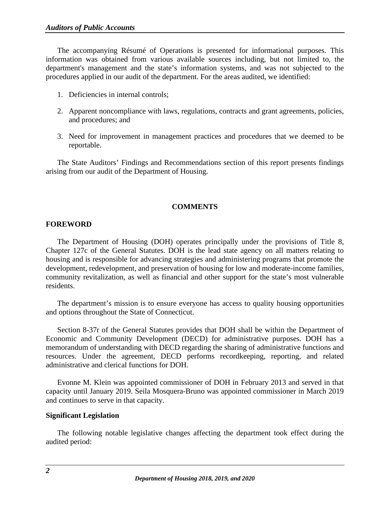The accompanying Résumé of Operations is presented for informational purposes. This information was obtained from various available sources including, but not limited to, the department's management and the state's information systems, and was not subjected to the procedures applied in our audit of the department. For the areas audited, we identified:

- 1. Deficiencies in internal controls;
- 2. Apparent noncompliance with laws, regulations, contracts and grant agreements, policies, and procedures; and
- 3. Need for improvement in management practices and procedures that we deemed to be reportable.

The State Auditors' Findings and Recommendations section of this report presents findings arising from our audit of the Department of Housing.

# **COMMENTS**

# <span id="page-5-1"></span><span id="page-5-0"></span>**FOREWORD**

The Department of Housing (DOH) operates principally under the provisions of Title 8, Chapter 127c of the General Statutes. DOH is the lead state agency on all matters relating to housing and is responsible for advancing strategies and administering programs that promote the development, redevelopment, and preservation of housing for low and moderate-income families, community revitalization, as well as financial and other support for the state's most vulnerable residents.

The department's mission is to ensure everyone has access to quality housing opportunities and options throughout the State of Connecticut.

Section 8-37r of the General Statutes provides that DOH shall be within the Department of Economic and Community Development (DECD) for administrative purposes. DOH has a memorandum of understanding with DECD regarding the sharing of administrative functions and resources. Under the agreement, DECD performs recordkeeping, reporting, and related administrative and clerical functions for DOH.

Evonne M. Klein was appointed commissioner of DOH in February 2013 and served in that capacity until January 2019. Seila Mosquera-Bruno was appointed commissioner in March 2019 and continues to serve in that capacity.

#### <span id="page-5-2"></span>**Significant Legislation**

The following notable legislative changes affecting the department took effect during the audited period: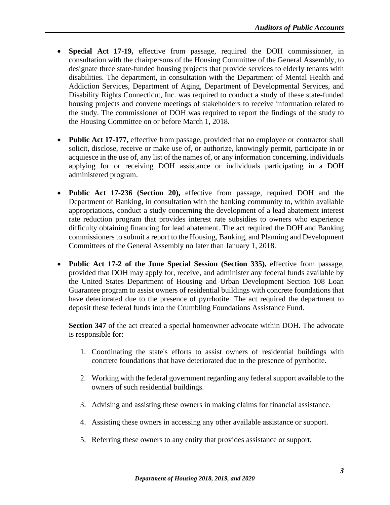- **Special Act 17-19,** effective from passage, required the DOH commissioner, in consultation with the chairpersons of the Housing Committee of the General Assembly, to designate three state-funded housing projects that provide services to elderly tenants with disabilities. The department, in consultation with the Department of Mental Health and Addiction Services, Department of Aging, Department of Developmental Services, and Disability Rights Connecticut, Inc. was required to conduct a study of these state-funded housing projects and convene meetings of stakeholders to receive information related to the study. The commissioner of DOH was required to report the findings of the study to the Housing Committee on or before March 1, 2018.
- **Public Act 17-177,** effective from passage, provided that no employee or contractor shall solicit, disclose, receive or make use of, or authorize, knowingly permit, participate in or acquiesce in the use of, any list of the names of, or any information concerning, individuals applying for or receiving DOH assistance or individuals participating in a DOH administered program.
- **Public Act 17-236 (Section 20),** effective from passage, required DOH and the Department of Banking, in consultation with the banking community to, within available appropriations, conduct a study concerning the development of a lead abatement interest rate reduction program that provides interest rate subsidies to owners who experience difficulty obtaining financing for lead abatement. The act required the DOH and Banking commissioners to submit a report to the Housing, Banking, and Planning and Development Committees of the General Assembly no later than January 1, 2018.
- **Public Act 17-2 of the June Special Session (Section 335),** effective from passage, provided that DOH may apply for, receive, and administer any federal funds available by the United States Department of Housing and Urban Development Section 108 Loan Guarantee program to assist owners of residential buildings with concrete foundations that have deteriorated due to the presence of pyrrhotite. The act required the department to deposit these federal funds into the Crumbling Foundations Assistance Fund.

**Section 347** of the act created a special homeowner advocate within DOH. The advocate is responsible for:

- 1. Coordinating the state's efforts to assist owners of residential buildings with concrete foundations that have deteriorated due to the presence of pyrrhotite.
- 2. Working with the federal government regarding any federal support available to the owners of such residential buildings.
- 3. Advising and assisting these owners in making claims for financial assistance.
- 4. Assisting these owners in accessing any other available assistance or support.
- 5. Referring these owners to any entity that provides assistance or support.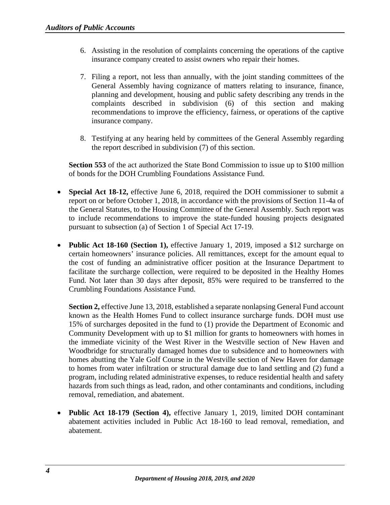- 6. Assisting in the resolution of complaints concerning the operations of the captive insurance company created to assist owners who repair their homes.
- 7. Filing a report, not less than annually, with the joint standing committees of the General Assembly having cognizance of matters relating to insurance, finance, planning and development, housing and public safety describing any trends in the complaints described in subdivision (6) of this section and making recommendations to improve the efficiency, fairness, or operations of the captive insurance company.
- 8. Testifying at any hearing held by committees of the General Assembly regarding the report described in subdivision (7) of this section.

**Section 553** of the act authorized the State Bond Commission to issue up to \$100 million of bonds for the DOH Crumbling Foundations Assistance Fund.

- **Special Act 18-12,** effective June 6, 2018, required the DOH commissioner to submit a report on or before October 1, 2018, in accordance with the provisions of Section 11-4a of the General Statutes, to the Housing Committee of the General Assembly. Such report was to include recommendations to improve the state-funded housing projects designated pursuant to subsection (a) of Section 1 of Special Act 17-19.
- **Public Act 18-160 (Section 1),** effective January 1, 2019, imposed a \$12 surcharge on certain homeowners' insurance policies. All remittances, except for the amount equal to the cost of funding an administrative officer position at the Insurance Department to facilitate the surcharge collection, were required to be deposited in the Healthy Homes Fund. Not later than 30 days after deposit, 85% were required to be transferred to the Crumbling Foundations Assistance Fund.

**Section 2,** effective June 13, 2018, established a separate nonlapsing General Fund account known as the Health Homes Fund to collect insurance surcharge funds. DOH must use 15% of surcharges deposited in the fund to (1) provide the Department of Economic and Community Development with up to \$1 million for grants to homeowners with homes in the immediate vicinity of the West River in the Westville section of New Haven and Woodbridge for structurally damaged homes due to subsidence and to homeowners with homes abutting the Yale Golf Course in the Westville section of New Haven for damage to homes from water infiltration or structural damage due to land settling and (2) fund a program, including related administrative expenses, to reduce residential health and safety hazards from such things as lead, radon, and other contaminants and conditions, including removal, remediation, and abatement.

• **Public Act 18-179 (Section 4),** effective January 1, 2019, limited DOH contaminant abatement activities included in Public Act 18-160 to lead removal, remediation, and abatement.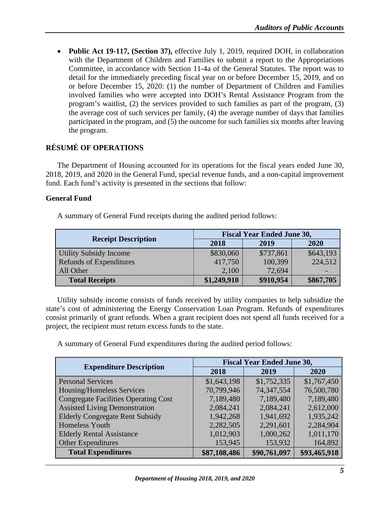• **Public Act 19-117, (Section 37),** effective July 1, 2019, required DOH, in collaboration with the Department of Children and Families to submit a report to the Appropriations Committee, in accordance with Section 11-4a of the General Statutes. The report was to detail for the immediately preceding fiscal year on or before December 15, 2019, and on or before December 15, 2020: (1) the number of Department of Children and Families involved families who were accepted into DOH's Rental Assistance Program from the program's waitlist, (2) the services provided to such families as part of the program, (3) the average cost of such services per family, (4) the average number of days that families participated in the program, and (5) the outcome for such families six months after leaving the program.

# <span id="page-8-0"></span>**RÉSUMÉ OF OPERATIONS**

The Department of Housing accounted for its operations for the fiscal years ended June 30, 2018, 2019, and 2020 in the General Fund, special revenue funds, and a non-capital improvement fund. Each fund's activity is presented in the sections that follow:

# <span id="page-8-1"></span>**General Fund**

A summary of General Fund receipts during the audited period follows:

|                                | <b>Fiscal Year Ended June 30,</b> |           |           |
|--------------------------------|-----------------------------------|-----------|-----------|
| <b>Receipt Description</b>     | 2018                              | 2019      | 2020      |
| Utility Subsidy Income         | \$830,060                         | \$737,861 | \$643,193 |
| <b>Refunds of Expenditures</b> | 417,750                           | 100,399   | 224,512   |
| All Other                      | 2,100                             | 72,694    |           |
| <b>Total Receipts</b>          | \$1,249,910                       | \$910,954 | \$867,705 |

Utility subsidy income consists of funds received by utility companies to help subsidize the state's cost of administering the Energy Conservation Loan Program. Refunds of expenditures consist primarily of grant refunds. When a grant recipient does not spend all funds received for a project, the recipient must return excess funds to the state.

A summary of General Fund expenditures during the audited period follows:

| <b>Expenditure Description</b>              | <b>Fiscal Year Ended June 30,</b> |              |              |
|---------------------------------------------|-----------------------------------|--------------|--------------|
|                                             | 2018                              | 2019         | 2020         |
| <b>Personal Services</b>                    | \$1,643,198                       | \$1,752,335  | \$1,767,450  |
| Housing/Homeless Services                   | 70,799,946                        | 74,347,554   | 76,500,780   |
| <b>Congregate Facilities Operating Cost</b> | 7,189,480                         | 7,189,480    | 7,189,480    |
| <b>Assisted Living Demonstration</b>        | 2,084,241                         | 2,084,241    | 2,612,000    |
| <b>Elderly Congregate Rent Subsidy</b>      | 1,942,268                         | 1,941,692    | 1,935,242    |
| <b>Homeless Youth</b>                       | 2,282,505                         | 2,291,601    | 2,284,904    |
| <b>Elderly Rental Assistance</b>            | 1,012,903                         | 1,000,262    | 1,011,170    |
| <b>Other Expenditures</b>                   | 153,945                           | 153,932      | 164,892      |
| <b>Total Expenditures</b>                   | \$87,108,486                      | \$90,761,097 | \$93,465,918 |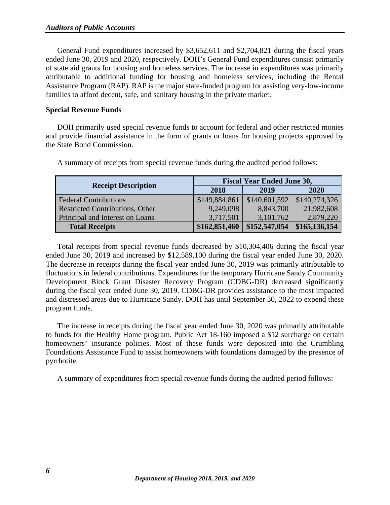General Fund expenditures increased by \$3,652,611 and \$2,704,821 during the fiscal years ended June 30, 2019 and 2020, respectively. DOH's General Fund expenditures consist primarily of state aid grants for housing and homeless services. The increase in expenditures was primarily attributable to additional funding for housing and homeless services, including the Rental Assistance Program (RAP). RAP is the major state-funded program for assisting very-low-income families to afford decent, safe, and sanitary housing in the private market.

#### <span id="page-9-0"></span>**Special Revenue Funds**

DOH primarily used special revenue funds to account for federal and other restricted monies and provide financial assistance in the form of grants or loans for housing projects approved by the State Bond Commission.

|                                 | <b>Fiscal Year Ended June 30,</b> |               |               |
|---------------------------------|-----------------------------------|---------------|---------------|
| <b>Receipt Description</b>      | 2018                              | 2019          | 2020          |
| <b>Federal Contributions</b>    | \$149,884,861                     | \$140,601,592 | \$140,274,326 |
| Restricted Contributions, Other | 9,249,098                         | 8,843,700     | 21,982,608    |
| Principal and Interest on Loans | 3,717,501                         | 3,101,762     | 2,879,220     |
| <b>Total Receipts</b>           | \$162,851,460                     | \$152,547,054 | \$165,136,154 |

A summary of receipts from special revenue funds during the audited period follows:

Total receipts from special revenue funds decreased by \$10,304,406 during the fiscal year ended June 30, 2019 and increased by \$12,589,100 during the fiscal year ended June 30, 2020. The decrease in receipts during the fiscal year ended June 30, 2019 was primarily attributable to fluctuations in federal contributions. Expenditures for the temporary Hurricane Sandy Community Development Block Grant Disaster Recovery Program (CDBG-DR) decreased significantly during the fiscal year ended June 30, 2019. CDBG-DR provides assistance to the most impacted and distressed areas due to Hurricane Sandy. DOH has until September 30, 2022 to expend these program funds.

The increase in receipts during the fiscal year ended June 30, 2020 was primarily attributable to funds for the Healthy Home program. Public Act 18-160 imposed a \$12 surcharge on certain homeowners' insurance policies. Most of these funds were deposited into the Crumbling Foundations Assistance Fund to assist homeowners with foundations damaged by the presence of pyrrhotite.

A summary of expenditures from special revenue funds during the audited period follows: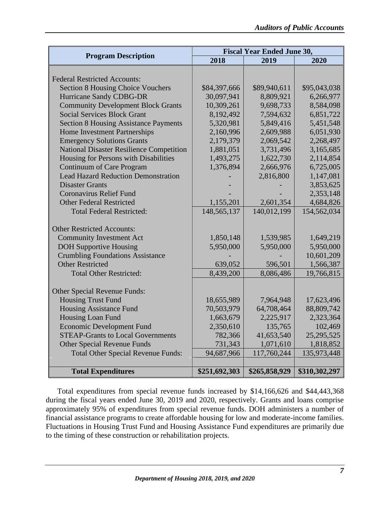| <b>Program Description</b>                      | <b>Fiscal Year Ended June 30,</b> |               |               |
|-------------------------------------------------|-----------------------------------|---------------|---------------|
|                                                 | 2018                              | 2019          | 2020          |
|                                                 |                                   |               |               |
| <b>Federal Restricted Accounts:</b>             |                                   |               |               |
| <b>Section 8 Housing Choice Vouchers</b>        | \$84,397,666                      | \$89,940,611  | \$95,043,038  |
| <b>Hurricane Sandy CDBG-DR</b>                  | 30,097,941                        | 8,809,921     | 6,266,977     |
| <b>Community Development Block Grants</b>       | 10,309,261                        | 9,698,733     | 8,584,098     |
| <b>Social Services Block Grant</b>              | 8,192,492                         | 7,594,632     | 6,851,722     |
| <b>Section 8 Housing Assistance Payments</b>    | 5,320,981                         | 5,849,416     | 5,451,548     |
| Home Investment Partnerships                    | 2,160,996                         | 2,609,988     | 6,051,930     |
| <b>Emergency Solutions Grants</b>               | 2,179,379                         | 2,069,542     | 2,268,497     |
| <b>National Disaster Resilience Competition</b> | 1,881,051                         | 3,731,496     | 3,165,685     |
| Housing for Persons with Disabilities           | 1,493,275                         | 1,622,730     | 2,114,854     |
| <b>Continuum of Care Program</b>                | 1,376,894                         | 2,666,976     | 6,725,005     |
| <b>Lead Hazard Reduction Demonstration</b>      |                                   | 2,816,800     | 1,147,081     |
| <b>Disaster Grants</b>                          |                                   |               | 3,853,625     |
| <b>Coronavirus Relief Fund</b>                  |                                   |               | 2,353,148     |
| <b>Other Federal Restricted</b>                 | 1,155,201                         | 2,601,354     | 4,684,826     |
| <b>Total Federal Restricted:</b>                | 148, 565, 137                     | 140,012,199   | 154,562,034   |
|                                                 |                                   |               |               |
| <b>Other Restricted Accounts:</b>               |                                   |               |               |
| <b>Community Investment Act</b>                 | 1,850,148                         | 1,539,985     | 1,649,219     |
| <b>DOH Supportive Housing</b>                   | 5,950,000                         | 5,950,000     | 5,950,000     |
| <b>Crumbling Foundations Assistance</b>         |                                   |               | 10,601,209    |
| <b>Other Restricted</b>                         | 639,052                           | 596,501       | 1,566,387     |
| <b>Total Other Restricted:</b>                  | 8,439,200                         | 8,086,486     | 19,766,815    |
|                                                 |                                   |               |               |
| <b>Other Special Revenue Funds:</b>             |                                   |               |               |
| <b>Housing Trust Fund</b>                       | 18,655,989                        | 7,964,948     | 17,623,496    |
| <b>Housing Assistance Fund</b>                  | 70,503,979                        | 64,708,464    | 88,809,742    |
| Housing Loan Fund                               | 1,663,679                         | 2,225,917     | 2,323,364     |
| <b>Economic Development Fund</b>                | 2,350,610                         | 135,765       | 102,469       |
| <b>STEAP-Grants to Local Governments</b>        | 782,366                           | 41,653,540    | 25,295,525    |
| <b>Other Special Revenue Funds</b>              | 731,343                           | 1,071,610     | 1,818,852     |
| <b>Total Other Special Revenue Funds:</b>       | 94,687,966                        | 117,760,244   | 135,973,448   |
|                                                 |                                   |               |               |
| <b>Total Expenditures</b>                       | \$251,692,303                     | \$265,858,929 | \$310,302,297 |

Total expenditures from special revenue funds increased by \$14,166,626 and \$44,443,368 during the fiscal years ended June 30, 2019 and 2020, respectively. Grants and loans comprise approximately 95% of expenditures from special revenue funds. DOH administers a number of financial assistance programs to create affordable housing for low and moderate-income families. Fluctuations in Housing Trust Fund and Housing Assistance Fund expenditures are primarily due to the timing of these construction or rehabilitation projects.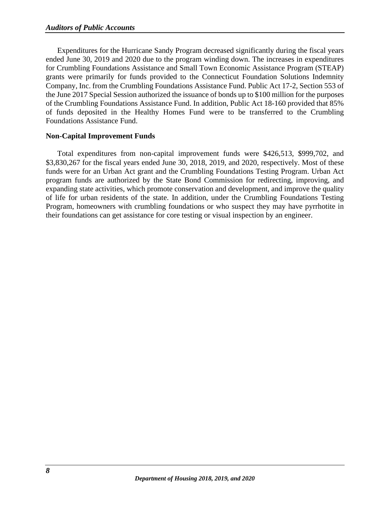Expenditures for the Hurricane Sandy Program decreased significantly during the fiscal years ended June 30, 2019 and 2020 due to the program winding down. The increases in expenditures for Crumbling Foundations Assistance and Small Town Economic Assistance Program (STEAP) grants were primarily for funds provided to the Connecticut Foundation Solutions Indemnity Company, Inc. from the Crumbling Foundations Assistance Fund. Public Act 17-2, Section 553 of the June 2017 Special Session authorized the issuance of bonds up to \$100 million for the purposes of the Crumbling Foundations Assistance Fund. In addition, Public Act 18-160 provided that 85% of funds deposited in the Healthy Homes Fund were to be transferred to the Crumbling Foundations Assistance Fund.

# <span id="page-11-0"></span>**Non-Capital Improvement Funds**

Total expenditures from non-capital improvement funds were \$426,513, \$999,702, and \$3,830,267 for the fiscal years ended June 30, 2018, 2019, and 2020, respectively. Most of these funds were for an Urban Act grant and the Crumbling Foundations Testing Program. Urban Act program funds are authorized by the State Bond Commission for redirecting, improving, and expanding state activities, which promote conservation and development, and improve the quality of life for urban residents of the state. In addition, under the Crumbling Foundations Testing Program, homeowners with crumbling foundations or who suspect they may have pyrrhotite in their foundations can get assistance for core testing or visual inspection by an engineer.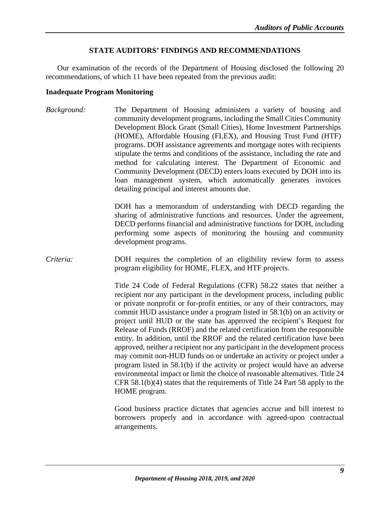# **STATE AUDITORS' FINDINGS AND RECOMMENDATIONS**

<span id="page-12-0"></span>Our examination of the records of the Department of Housing disclosed the following 20 recommendations, of which 11 have been repeated from the previous audit:

#### <span id="page-12-1"></span>**Inadequate Program Monitoring**

*Background:* The Department of Housing administers a variety of housing and community development programs, including the Small Cities Community Development Block Grant (Small Cities), Home Investment Partnerships (HOME), Affordable Housing (FLEX), and Housing Trust Fund (HTF) programs. DOH assistance agreements and mortgage notes with recipients stipulate the terms and conditions of the assistance, including the rate and method for calculating interest. The Department of Economic and Community Development (DECD) enters loans executed by DOH into its loan management system, which automatically generates invoices detailing principal and interest amounts due.

> DOH has a memorandum of understanding with DECD regarding the sharing of administrative functions and resources. Under the agreement, DECD performs financial and administrative functions for DOH, including performing some aspects of monitoring the housing and community development programs.

*Criteria:* DOH requires the completion of an eligibility review form to assess program eligibility for HOME, FLEX, and HTF projects.

> Title 24 Code of Federal Regulations (CFR) 58.22 states that neither a recipient nor any participant in the development process, including public or private nonprofit or for-profit entities, or any of their contractors, may commit HUD assistance under a program listed in 58.1(b) on an activity or project until HUD or the state has approved the recipient's Request for Release of Funds (RROF) and the related certification from the responsible entity. In addition, until the RROF and the related certification have been approved, neither a recipient nor any participant in the development process may commit non-HUD funds on or undertake an activity or project under a program listed in 58.1(b) if the activity or project would have an adverse environmental impact or limit the choice of reasonable alternatives. Title 24 CFR 58.1(b)(4) states that the requirements of Title 24 Part 58 apply to the HOME program.

> Good business practice dictates that agencies accrue and bill interest to borrowers properly and in accordance with agreed-upon contractual arrangements.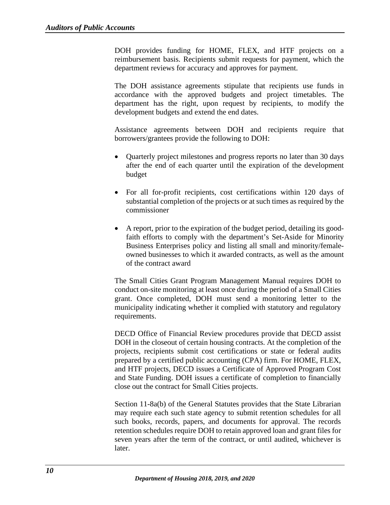DOH provides funding for HOME, FLEX, and HTF projects on a reimbursement basis. Recipients submit requests for payment, which the department reviews for accuracy and approves for payment.

The DOH assistance agreements stipulate that recipients use funds in accordance with the approved budgets and project timetables. The department has the right, upon request by recipients, to modify the development budgets and extend the end dates.

Assistance agreements between DOH and recipients require that borrowers/grantees provide the following to DOH:

- Quarterly project milestones and progress reports no later than 30 days after the end of each quarter until the expiration of the development budget
- For all for-profit recipients, cost certifications within 120 days of substantial completion of the projects or at such times as required by the commissioner
- A report, prior to the expiration of the budget period, detailing its goodfaith efforts to comply with the department's Set-Aside for Minority Business Enterprises policy and listing all small and minority/femaleowned businesses to which it awarded contracts, as well as the amount of the contract award

The Small Cities Grant Program Management Manual requires DOH to conduct on-site monitoring at least once during the period of a Small Cities grant. Once completed, DOH must send a monitoring letter to the municipality indicating whether it complied with statutory and regulatory requirements.

DECD Office of Financial Review procedures provide that DECD assist DOH in the closeout of certain housing contracts. At the completion of the projects, recipients submit cost certifications or state or federal audits prepared by a certified public accounting (CPA) firm. For HOME, FLEX, and HTF projects, DECD issues a Certificate of Approved Program Cost and State Funding. DOH issues a certificate of completion to financially close out the contract for Small Cities projects.

Section 11-8a(b) of the General Statutes provides that the State Librarian may require each such state agency to submit retention schedules for all such books, records, papers, and documents for approval. The records retention schedules require DOH to retain approved loan and grant files for seven years after the term of the contract, or until audited, whichever is later.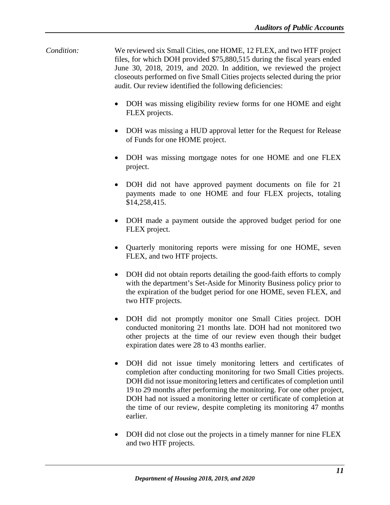- *Condition:* We reviewed six Small Cities, one HOME, 12 FLEX, and two HTF project files, for which DOH provided \$75,880,515 during the fiscal years ended June 30, 2018, 2019, and 2020. In addition, we reviewed the project closeouts performed on five Small Cities projects selected during the prior audit. Our review identified the following deficiencies:
	- DOH was missing eligibility review forms for one HOME and eight FLEX projects.
	- DOH was missing a HUD approval letter for the Request for Release of Funds for one HOME project.
	- DOH was missing mortgage notes for one HOME and one FLEX project.
	- DOH did not have approved payment documents on file for 21 payments made to one HOME and four FLEX projects, totaling \$14,258,415.
	- DOH made a payment outside the approved budget period for one FLEX project.
	- Quarterly monitoring reports were missing for one HOME, seven FLEX, and two HTF projects.
	- DOH did not obtain reports detailing the good-faith efforts to comply with the department's Set-Aside for Minority Business policy prior to the expiration of the budget period for one HOME, seven FLEX, and two HTF projects.
	- DOH did not promptly monitor one Small Cities project. DOH conducted monitoring 21 months late. DOH had not monitored two other projects at the time of our review even though their budget expiration dates were 28 to 43 months earlier.
	- DOH did not issue timely monitoring letters and certificates of completion after conducting monitoring for two Small Cities projects. DOH did not issue monitoring letters and certificates of completion until 19 to 29 months after performing the monitoring. For one other project, DOH had not issued a monitoring letter or certificate of completion at the time of our review, despite completing its monitoring 47 months earlier.
	- DOH did not close out the projects in a timely manner for nine FLEX and two HTF projects.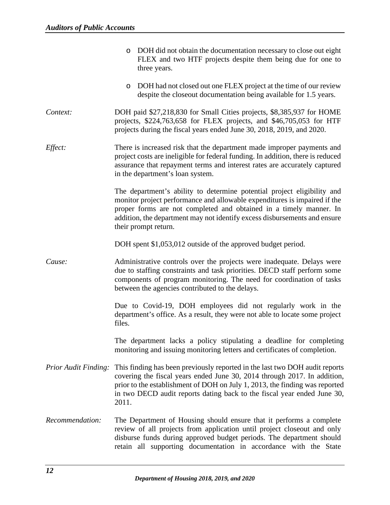|                             | o DOH did not obtain the documentation necessary to close out eight<br>FLEX and two HTF projects despite them being due for one to<br>three years.                                                                                                                                                                              |
|-----------------------------|---------------------------------------------------------------------------------------------------------------------------------------------------------------------------------------------------------------------------------------------------------------------------------------------------------------------------------|
|                             | DOH had not closed out one FLEX project at the time of our review<br>O<br>despite the closeout documentation being available for 1.5 years.                                                                                                                                                                                     |
| Context:                    | DOH paid \$27,218,830 for Small Cities projects, \$8,385,937 for HOME<br>projects, \$224,763,658 for FLEX projects, and \$46,705,053 for HTF<br>projects during the fiscal years ended June 30, 2018, 2019, and 2020.                                                                                                           |
| Effect:                     | There is increased risk that the department made improper payments and<br>project costs are ineligible for federal funding. In addition, there is reduced<br>assurance that repayment terms and interest rates are accurately captured<br>in the department's loan system.                                                      |
|                             | The department's ability to determine potential project eligibility and<br>monitor project performance and allowable expenditures is impaired if the<br>proper forms are not completed and obtained in a timely manner. In<br>addition, the department may not identify excess disbursements and ensure<br>their prompt return. |
|                             | DOH spent \$1,053,012 outside of the approved budget period.                                                                                                                                                                                                                                                                    |
| Cause:                      | Administrative controls over the projects were inadequate. Delays were<br>due to staffing constraints and task priorities. DECD staff perform some<br>components of program monitoring. The need for coordination of tasks<br>between the agencies contributed to the delays.                                                   |
|                             | Due to Covid-19, DOH employees did not regularly work in the<br>department's office. As a result, they were not able to locate some project<br>files.                                                                                                                                                                           |
|                             | The department lacks a policy stipulating a deadline for completing<br>monitoring and issuing monitoring letters and certificates of completion.                                                                                                                                                                                |
| <b>Prior Audit Finding:</b> | This finding has been previously reported in the last two DOH audit reports<br>covering the fiscal years ended June 30, 2014 through 2017. In addition,<br>prior to the establishment of DOH on July 1, 2013, the finding was reported<br>in two DECD audit reports dating back to the fiscal year ended June 30,<br>2011.      |
| Recommendation:             | The Department of Housing should ensure that it performs a complete<br>review of all projects from application until project closeout and only<br>disburse funds during approved budget periods. The department should<br>retain all supporting documentation in accordance with the State                                      |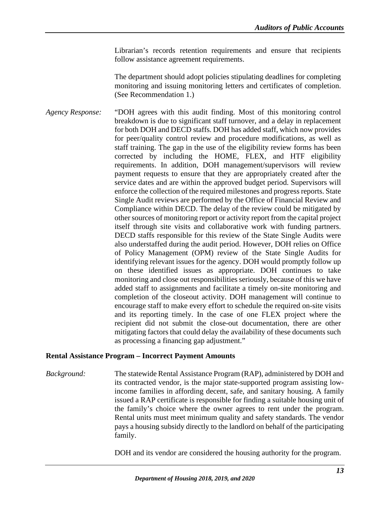Librarian's records retention requirements and ensure that recipients follow assistance agreement requirements.

The department should adopt policies stipulating deadlines for completing monitoring and issuing monitoring letters and certificates of completion. (See Recommendation 1.)

*Agency Response:* "DOH agrees with this audit finding. Most of this monitoring control breakdown is due to significant staff turnover, and a delay in replacement for both DOH and DECD staffs. DOH has added staff, which now provides for peer/quality control review and procedure modifications, as well as staff training. The gap in the use of the eligibility review forms has been corrected by including the HOME, FLEX, and HTF eligibility requirements. In addition, DOH management/supervisors will review payment requests to ensure that they are appropriately created after the service dates and are within the approved budget period. Supervisors will enforce the collection of the required milestones and progress reports. State Single Audit reviews are performed by the Office of Financial Review and Compliance within DECD. The delay of the review could be mitigated by other sources of monitoring report or activity report from the capital project itself through site visits and collaborative work with funding partners. DECD staffs responsible for this review of the State Single Audits were also understaffed during the audit period. However, DOH relies on Office of Policy Management (OPM) review of the State Single Audits for identifying relevant issues for the agency. DOH would promptly follow up on these identified issues as appropriate. DOH continues to take monitoring and close out responsibilities seriously, because of this we have added staff to assignments and facilitate a timely on-site monitoring and completion of the closeout activity. DOH management will continue to encourage staff to make every effort to schedule the required on-site visits and its reporting timely. In the case of one FLEX project where the recipient did not submit the close-out documentation, there are other mitigating factors that could delay the availability of these documents such as processing a financing gap adjustment."

#### <span id="page-16-0"></span>**Rental Assistance Program – Incorrect Payment Amounts**

*Background:* The statewide Rental Assistance Program (RAP), administered by DOH and its contracted vendor, is the major state-supported program assisting lowincome families in affording decent, safe, and sanitary housing. A family issued a RAP certificate is responsible for finding a suitable housing unit of the family's choice where the owner agrees to rent under the program. Rental units must meet minimum quality and safety standards. The vendor pays a housing subsidy directly to the landlord on behalf of the participating family.

DOH and its vendor are considered the housing authority for the program.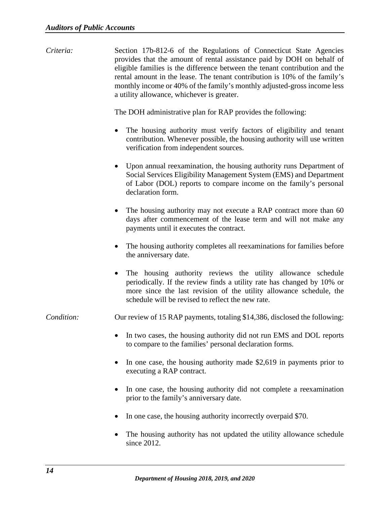*Criteria:* Section 17b-812-6 of the Regulations of Connecticut State Agencies provides that the amount of rental assistance paid by DOH on behalf of eligible families is the difference between the tenant contribution and the rental amount in the lease. The tenant contribution is 10% of the family's monthly income or 40% of the family's monthly adjusted-gross income less a utility allowance, whichever is greater.

The DOH administrative plan for RAP provides the following:

- The housing authority must verify factors of eligibility and tenant contribution. Whenever possible, the housing authority will use written verification from independent sources.
- Upon annual reexamination, the housing authority runs Department of Social Services Eligibility Management System (EMS) and Department of Labor (DOL) reports to compare income on the family's personal declaration form.
- The housing authority may not execute a RAP contract more than 60 days after commencement of the lease term and will not make any payments until it executes the contract.
- The housing authority completes all reexaminations for families before the anniversary date.
- The housing authority reviews the utility allowance schedule periodically. If the review finds a utility rate has changed by 10% or more since the last revision of the utility allowance schedule, the schedule will be revised to reflect the new rate.

*Condition:* Our review of 15 RAP payments, totaling \$14,386, disclosed the following:

- In two cases, the housing authority did not run EMS and DOL reports to compare to the families' personal declaration forms.
- In one case, the housing authority made \$2,619 in payments prior to executing a RAP contract.
- In one case, the housing authority did not complete a reexamination prior to the family's anniversary date.
- In one case, the housing authority incorrectly overpaid \$70.
- The housing authority has not updated the utility allowance schedule since 2012.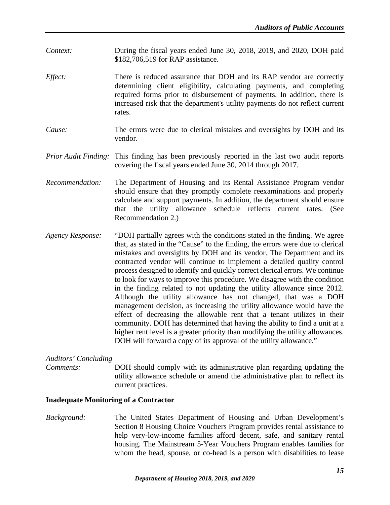- *Context:* During the fiscal years ended June 30, 2018, 2019, and 2020, DOH paid \$182,706,519 for RAP assistance.
- *Effect:* There is reduced assurance that DOH and its RAP vendor are correctly determining client eligibility, calculating payments, and completing required forms prior to disbursement of payments. In addition, there is increased risk that the department's utility payments do not reflect current rates.
- *Cause:* The errors were due to clerical mistakes and oversights by DOH and its vendor.
- *Prior Audit Finding:* This finding has been previously reported in the last two audit reports covering the fiscal years ended June 30, 2014 through 2017.
- *Recommendation:* The Department of Housing and its Rental Assistance Program vendor should ensure that they promptly complete reexaminations and properly calculate and support payments. In addition, the department should ensure that the utility allowance schedule reflects current rates. (See Recommendation 2.)
- *Agency Response:* "DOH partially agrees with the conditions stated in the finding. We agree that, as stated in the "Cause" to the finding, the errors were due to clerical mistakes and oversights by DOH and its vendor. The Department and its contracted vendor will continue to implement a detailed quality control process designed to identify and quickly correct clerical errors. We continue to look for ways to improve this procedure. We disagree with the condition in the finding related to not updating the utility allowance since 2012. Although the utility allowance has not changed, that was a DOH management decision, as increasing the utility allowance would have the effect of decreasing the allowable rent that a tenant utilizes in their community. DOH has determined that having the ability to find a unit at a higher rent level is a greater priority than modifying the utility allowances. DOH will forward a copy of its approval of the utility allowance."

#### *Auditors' Concluding*

*Comments:* DOH should comply with its administrative plan regarding updating the utility allowance schedule or amend the administrative plan to reflect its current practices.

#### <span id="page-18-0"></span>**Inadequate Monitoring of a Contractor**

*Background:* The United States Department of Housing and Urban Development's Section 8 Housing Choice Vouchers Program provides rental assistance to help very-low-income families afford decent, safe, and sanitary rental housing. The Mainstream 5-Year Vouchers Program enables families for whom the head, spouse, or co-head is a person with disabilities to lease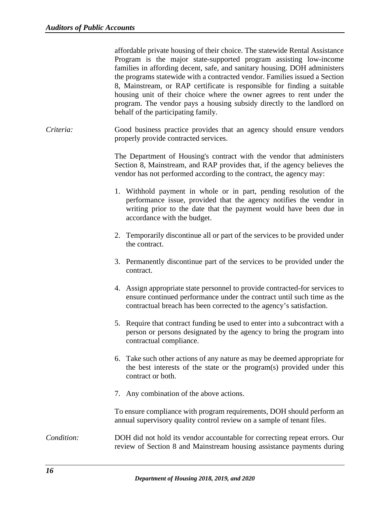affordable private housing of their choice. The statewide Rental Assistance Program is the major state-supported program assisting low-income families in affording decent, safe, and sanitary housing. DOH administers the programs statewide with a contracted vendor. Families issued a Section 8, Mainstream, or RAP certificate is responsible for finding a suitable housing unit of their choice where the owner agrees to rent under the program. The vendor pays a housing subsidy directly to the landlord on behalf of the participating family.

*Criteria:* Good business practice provides that an agency should ensure vendors properly provide contracted services.

> The Department of Housing's contract with the vendor that administers Section 8, Mainstream, and RAP provides that, if the agency believes the vendor has not performed according to the contract, the agency may:

- 1. Withhold payment in whole or in part, pending resolution of the performance issue, provided that the agency notifies the vendor in writing prior to the date that the payment would have been due in accordance with the budget.
- 2. Temporarily discontinue all or part of the services to be provided under the contract.
- 3. Permanently discontinue part of the services to be provided under the contract.
- 4. Assign appropriate state personnel to provide contracted-for services to ensure continued performance under the contract until such time as the contractual breach has been corrected to the agency's satisfaction.
- 5. Require that contract funding be used to enter into a subcontract with a person or persons designated by the agency to bring the program into contractual compliance.
- 6. Take such other actions of any nature as may be deemed appropriate for the best interests of the state or the program(s) provided under this contract or both.
- 7. Any combination of the above actions.

To ensure compliance with program requirements, DOH should perform an annual supervisory quality control review on a sample of tenant files.

# *Condition:* DOH did not hold its vendor accountable for correcting repeat errors. Our review of Section 8 and Mainstream housing assistance payments during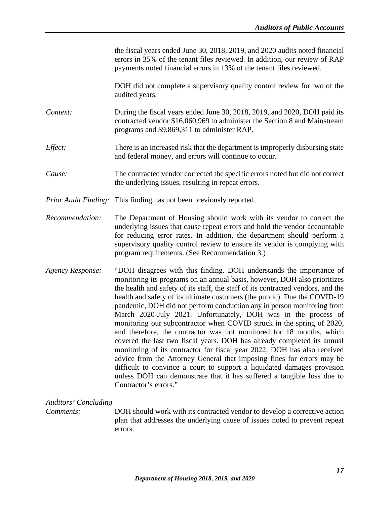<span id="page-20-0"></span>

|                             | the fiscal years ended June 30, 2018, 2019, and 2020 audits noted financial<br>errors in 35% of the tenant files reviewed. In addition, our review of RAP<br>payments noted financial errors in 13% of the tenant files reviewed.                                                                                                                                                                                                                                                                                                                                                                                                                                                                                                                                                                                                                                                                                                                                                                                              |
|-----------------------------|--------------------------------------------------------------------------------------------------------------------------------------------------------------------------------------------------------------------------------------------------------------------------------------------------------------------------------------------------------------------------------------------------------------------------------------------------------------------------------------------------------------------------------------------------------------------------------------------------------------------------------------------------------------------------------------------------------------------------------------------------------------------------------------------------------------------------------------------------------------------------------------------------------------------------------------------------------------------------------------------------------------------------------|
|                             | DOH did not complete a supervisory quality control review for two of the<br>audited years.                                                                                                                                                                                                                                                                                                                                                                                                                                                                                                                                                                                                                                                                                                                                                                                                                                                                                                                                     |
| Context:                    | During the fiscal years ended June 30, 2018, 2019, and 2020, DOH paid its<br>contracted vendor \$16,060,969 to administer the Section 8 and Mainstream<br>programs and \$9,869,311 to administer RAP.                                                                                                                                                                                                                                                                                                                                                                                                                                                                                                                                                                                                                                                                                                                                                                                                                          |
| Effect:                     | There is an increased risk that the department is improperly disbursing state<br>and federal money, and errors will continue to occur.                                                                                                                                                                                                                                                                                                                                                                                                                                                                                                                                                                                                                                                                                                                                                                                                                                                                                         |
| Cause:                      | The contracted vendor corrected the specific errors noted but did not correct<br>the underlying issues, resulting in repeat errors.                                                                                                                                                                                                                                                                                                                                                                                                                                                                                                                                                                                                                                                                                                                                                                                                                                                                                            |
|                             | <i>Prior Audit Finding:</i> This finding has not been previously reported.                                                                                                                                                                                                                                                                                                                                                                                                                                                                                                                                                                                                                                                                                                                                                                                                                                                                                                                                                     |
| Recommendation:             | The Department of Housing should work with its vendor to correct the<br>underlying issues that cause repeat errors and hold the vendor accountable<br>for reducing error rates. In addition, the department should perform a<br>supervisory quality control review to ensure its vendor is complying with<br>program requirements. (See Recommendation 3.)                                                                                                                                                                                                                                                                                                                                                                                                                                                                                                                                                                                                                                                                     |
| <b>Agency Response:</b>     | "DOH disagrees with this finding. DOH understands the importance of<br>monitoring its programs on an annual basis, however, DOH also prioritizes<br>the health and safety of its staff, the staff of its contracted vendors, and the<br>health and safety of its ultimate customers (the public). Due the COVID-19<br>pandemic, DOH did not perform conduction any in person monitoring from<br>March 2020-July 2021. Unfortunately, DOH was in the process of<br>monitoring our subcontractor when COVID struck in the spring of 2020,<br>and therefore, the contractor was not monitored for 18 months, which<br>covered the last two fiscal years. DOH has already completed its annual<br>monitoring of its contractor for fiscal year 2022. DOH has also received<br>advice from the Attorney General that imposing fines for errors may be<br>difficult to convince a court to support a liquidated damages provision<br>unless DOH can demonstrate that it has suffered a tangible loss due to<br>Contractor's errors." |
| <b>Auditors' Concluding</b> |                                                                                                                                                                                                                                                                                                                                                                                                                                                                                                                                                                                                                                                                                                                                                                                                                                                                                                                                                                                                                                |
| Comments:                   | DOH should work with its contracted vendor to develop a corrective action<br>plan that addresses the underlying cause of issues noted to prevent repeat<br>errors.                                                                                                                                                                                                                                                                                                                                                                                                                                                                                                                                                                                                                                                                                                                                                                                                                                                             |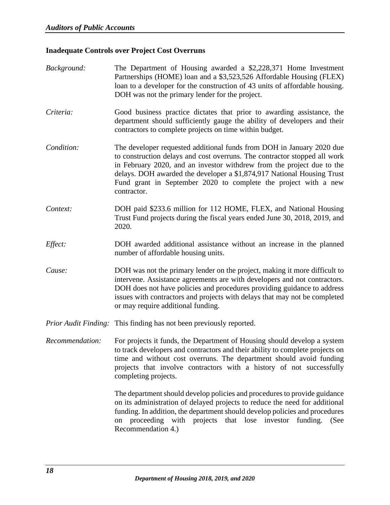#### <span id="page-21-0"></span>**Inadequate Controls over Project Cost Overruns**

- *Background:* The Department of Housing awarded a \$2,228,371 Home Investment Partnerships (HOME) loan and a \$3,523,526 Affordable Housing (FLEX) loan to a developer for the construction of 43 units of affordable housing. DOH was not the primary lender for the project.
- *Criteria:* Good business practice dictates that prior to awarding assistance, the department should sufficiently gauge the ability of developers and their contractors to complete projects on time within budget.
- *Condition:* The developer requested additional funds from DOH in January 2020 due to construction delays and cost overruns. The contractor stopped all work in February 2020, and an investor withdrew from the project due to the delays. DOH awarded the developer a \$1,874,917 National Housing Trust Fund grant in September 2020 to complete the project with a new contractor.
- *Context:* DOH paid \$233.6 million for 112 HOME, FLEX, and National Housing Trust Fund projects during the fiscal years ended June 30, 2018, 2019, and 2020.
- *Effect:* DOH awarded additional assistance without an increase in the planned number of affordable housing units.
- *Cause:* DOH was not the primary lender on the project, making it more difficult to intervene. Assistance agreements are with developers and not contractors. DOH does not have policies and procedures providing guidance to address issues with contractors and projects with delays that may not be completed or may require additional funding.
- *Prior Audit Finding:* This finding has not been previously reported.
- *Recommendation:* For projects it funds, the Department of Housing should develop a system to track developers and contractors and their ability to complete projects on time and without cost overruns. The department should avoid funding projects that involve contractors with a history of not successfully completing projects.

The department should develop policies and procedures to provide guidance on its administration of delayed projects to reduce the need for additional funding. In addition, the department should develop policies and procedures on proceeding with projects that lose investor funding. (See Recommendation 4.)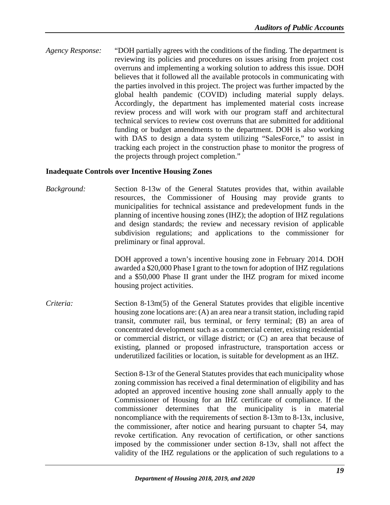*Agency Response:* "DOH partially agrees with the conditions of the finding. The department is reviewing its policies and procedures on issues arising from project cost overruns and implementing a working solution to address this issue. DOH believes that it followed all the available protocols in communicating with the parties involved in this project. The project was further impacted by the global health pandemic (COVID) including material supply delays. Accordingly, the department has implemented material costs increase review process and will work with our program staff and architectural technical services to review cost overruns that are submitted for additional funding or budget amendments to the department. DOH is also working with DAS to design a data system utilizing "SalesForce," to assist in tracking each project in the construction phase to monitor the progress of the projects through project completion."

#### <span id="page-22-0"></span>**Inadequate Controls over Incentive Housing Zones**

*Background:* Section 8-13w of the General Statutes provides that, within available resources, the Commissioner of Housing may provide grants to municipalities for technical assistance and predevelopment funds in the planning of incentive housing zones (IHZ); the adoption of IHZ regulations and design standards; the review and necessary revision of applicable subdivision regulations; and applications to the commissioner for preliminary or final approval.

> DOH approved a town's incentive housing zone in February 2014. DOH awarded a \$20,000 Phase I grant to the town for adoption of IHZ regulations and a \$50,000 Phase II grant under the IHZ program for mixed income housing project activities.

*Criteria:* Section 8-13m(5) of the General Statutes provides that eligible incentive housing zone locations are: (A) an area near a transit station, including rapid transit, commuter rail, bus terminal, or ferry terminal; (B) an area of concentrated development such as a commercial center, existing residential or commercial district, or village district; or (C) an area that because of existing, planned or proposed infrastructure, transportation access or underutilized facilities or location, is suitable for development as an IHZ.

> Section 8-13r of the General Statutes provides that each municipality whose zoning commission has received a final determination of eligibility and has adopted an approved incentive housing zone shall annually apply to the Commissioner of Housing for an IHZ certificate of compliance. If the commissioner determines that the municipality is in material noncompliance with the requirements of section 8-13m to 8-13x, inclusive, the commissioner, after notice and hearing pursuant to chapter 54, may revoke certification. Any revocation of certification, or other sanctions imposed by the commissioner under section 8-13v, shall not affect the validity of the IHZ regulations or the application of such regulations to a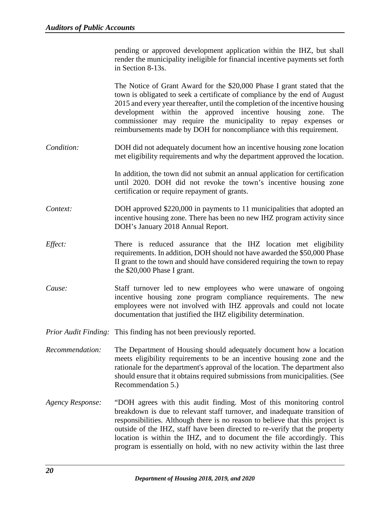pending or approved development application within the IHZ, but shall render the municipality ineligible for financial incentive payments set forth in Section 8-13s.

The Notice of Grant Award for the \$20,000 Phase I grant stated that the town is obligated to seek a certificate of compliance by the end of August 2015 and every year thereafter, until the completion of the incentive housing development within the approved incentive housing zone. The commissioner may require the municipality to repay expenses or reimbursements made by DOH for noncompliance with this requirement.

- *Condition:* DOH did not adequately document how an incentive housing zone location met eligibility requirements and why the department approved the location.
	- In addition, the town did not submit an annual application for certification until 2020. DOH did not revoke the town's incentive housing zone certification or require repayment of grants.
- *Context:* DOH approved \$220,000 in payments to 11 municipalities that adopted an incentive housing zone. There has been no new IHZ program activity since DOH's January 2018 Annual Report.
- *Effect:* There is reduced assurance that the IHZ location met eligibility requirements. In addition, DOH should not have awarded the \$50,000 Phase II grant to the town and should have considered requiring the town to repay the \$20,000 Phase I grant.
- *Cause:* Staff turnover led to new employees who were unaware of ongoing incentive housing zone program compliance requirements. The new employees were not involved with IHZ approvals and could not locate documentation that justified the IHZ eligibility determination.

*Prior Audit Finding:* This finding has not been previously reported.

- *Recommendation:* The Department of Housing should adequately document how a location meets eligibility requirements to be an incentive housing zone and the rationale for the department's approval of the location. The department also should ensure that it obtains required submissions from municipalities. (See Recommendation 5.)
- *Agency Response:* "DOH agrees with this audit finding. Most of this monitoring control breakdown is due to relevant staff turnover, and inadequate transition of responsibilities. Although there is no reason to believe that this project is outside of the IHZ, staff have been directed to re-verify that the property location is within the IHZ, and to document the file accordingly. This program is essentially on hold, with no new activity within the last three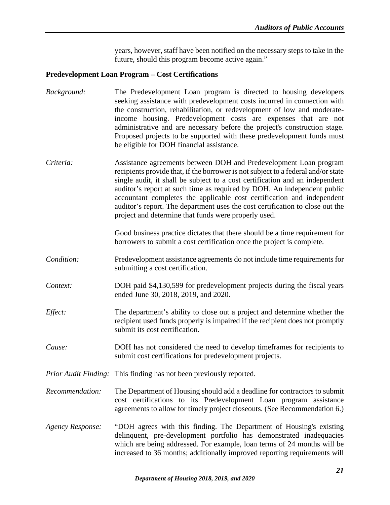years, however, staff have been notified on the necessary steps to take in the future, should this program become active again."

# <span id="page-24-0"></span>**Predevelopment Loan Program – Cost Certifications**

| Background:             | The Predevelopment Loan program is directed to housing developers<br>seeking assistance with predevelopment costs incurred in connection with<br>the construction, rehabilitation, or redevelopment of low and moderate-<br>income housing. Predevelopment costs are expenses that are not<br>administrative and are necessary before the project's construction stage.<br>Proposed projects to be supported with these predevelopment funds must<br>be eligible for DOH financial assistance.                                       |
|-------------------------|--------------------------------------------------------------------------------------------------------------------------------------------------------------------------------------------------------------------------------------------------------------------------------------------------------------------------------------------------------------------------------------------------------------------------------------------------------------------------------------------------------------------------------------|
| Criteria:               | Assistance agreements between DOH and Predevelopment Loan program<br>recipients provide that, if the borrower is not subject to a federal and/or state<br>single audit, it shall be subject to a cost certification and an independent<br>auditor's report at such time as required by DOH. An independent public<br>accountant completes the applicable cost certification and independent<br>auditor's report. The department uses the cost certification to close out the<br>project and determine that funds were properly used. |
|                         | Good business practice dictates that there should be a time requirement for<br>borrowers to submit a cost certification once the project is complete.                                                                                                                                                                                                                                                                                                                                                                                |
| Condition:              | Predevelopment assistance agreements do not include time requirements for<br>submitting a cost certification.                                                                                                                                                                                                                                                                                                                                                                                                                        |
| Context:                | DOH paid \$4,130,599 for predevelopment projects during the fiscal years<br>ended June 30, 2018, 2019, and 2020.                                                                                                                                                                                                                                                                                                                                                                                                                     |
| Effect:                 | The department's ability to close out a project and determine whether the<br>recipient used funds properly is impaired if the recipient does not promptly<br>submit its cost certification.                                                                                                                                                                                                                                                                                                                                          |
| Cause:                  | DOH has not considered the need to develop time frames for recipients to<br>submit cost certifications for predevelopment projects.                                                                                                                                                                                                                                                                                                                                                                                                  |
|                         | Prior Audit Finding: This finding has not been previously reported.                                                                                                                                                                                                                                                                                                                                                                                                                                                                  |
| Recommendation:         | The Department of Housing should add a deadline for contractors to submit<br>cost certifications to its Predevelopment Loan program assistance<br>agreements to allow for timely project closeouts. (See Recommendation 6.)                                                                                                                                                                                                                                                                                                          |
| <b>Agency Response:</b> | "DOH agrees with this finding. The Department of Housing's existing<br>delinquent, pre-development portfolio has demonstrated inadequacies<br>which are being addressed. For example, loan terms of 24 months will be<br>increased to 36 months; additionally improved reporting requirements will                                                                                                                                                                                                                                   |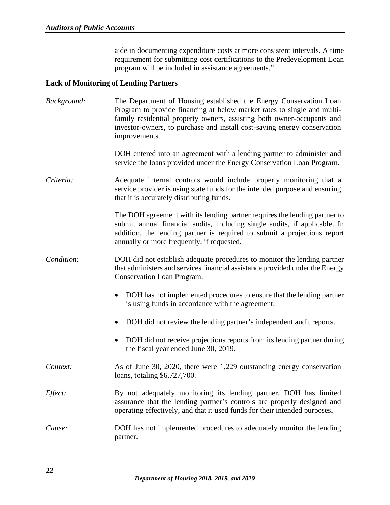aide in documenting expenditure costs at more consistent intervals. A time requirement for submitting cost certifications to the Predevelopment Loan program will be included in assistance agreements."

#### <span id="page-25-0"></span>**Lack of Monitoring of Lending Partners**

*Background:* The Department of Housing established the Energy Conservation Loan Program to provide financing at below market rates to single and multifamily residential property owners, assisting both owner-occupants and investor-owners, to purchase and install cost-saving energy conservation improvements.

> DOH entered into an agreement with a lending partner to administer and service the loans provided under the Energy Conservation Loan Program.

*Criteria:* Adequate internal controls would include properly monitoring that a service provider is using state funds for the intended purpose and ensuring that it is accurately distributing funds.

> The DOH agreement with its lending partner requires the lending partner to submit annual financial audits, including single audits, if applicable. In addition, the lending partner is required to submit a projections report annually or more frequently, if requested.

- *Condition:* DOH did not establish adequate procedures to monitor the lending partner that administers and services financial assistance provided under the Energy Conservation Loan Program.
	- DOH has not implemented procedures to ensure that the lending partner is using funds in accordance with the agreement.
	- DOH did not review the lending partner's independent audit reports.
	- DOH did not receive projections reports from its lending partner during the fiscal year ended June 30, 2019.
- *Context:* As of June 30, 2020, there were 1,229 outstanding energy conservation loans, totaling \$6,727,700.
- *Effect:* By not adequately monitoring its lending partner, DOH has limited assurance that the lending partner's controls are properly designed and operating effectively, and that it used funds for their intended purposes.
- *Cause:* DOH has not implemented procedures to adequately monitor the lending partner.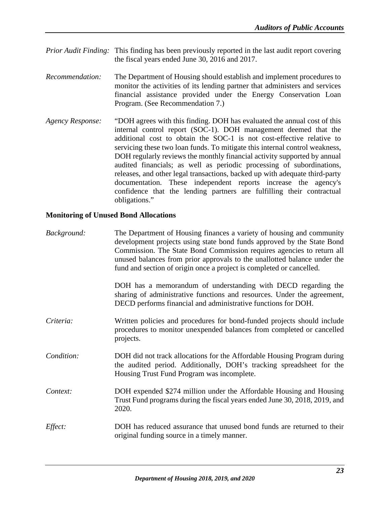- *Prior Audit Finding:* This finding has been previously reported in the last audit report covering the fiscal years ended June 30, 2016 and 2017.
- *Recommendation:* The Department of Housing should establish and implement procedures to monitor the activities of its lending partner that administers and services financial assistance provided under the Energy Conservation Loan Program. (See Recommendation 7.)
- *Agency Response:* "DOH agrees with this finding. DOH has evaluated the annual cost of this internal control report (SOC-1). DOH management deemed that the additional cost to obtain the SOC-1 is not cost-effective relative to servicing these two loan funds. To mitigate this internal control weakness, DOH regularly reviews the monthly financial activity supported by annual audited financials; as well as periodic processing of subordinations, releases, and other legal transactions, backed up with adequate third-party documentation. These independent reports increase the agency's confidence that the lending partners are fulfilling their contractual obligations."

#### <span id="page-26-0"></span>**Monitoring of Unused Bond Allocations**

| Background: | The Department of Housing finances a variety of housing and community<br>development projects using state bond funds approved by the State Bond<br>Commission. The State Bond Commission requires agencies to return all<br>unused balances from prior approvals to the unallotted balance under the<br>fund and section of origin once a project is completed or cancelled. |
|-------------|------------------------------------------------------------------------------------------------------------------------------------------------------------------------------------------------------------------------------------------------------------------------------------------------------------------------------------------------------------------------------|
|             | DOH has a memorandum of understanding with DECD regarding the<br>sharing of administrative functions and resources. Under the agreement,<br>DECD performs financial and administrative functions for DOH.                                                                                                                                                                    |
| Criteria:   | Written policies and procedures for bond-funded projects should include<br>procedures to monitor unexpended balances from completed or cancelled<br>projects.                                                                                                                                                                                                                |
| Condition:  | DOH did not track allocations for the Affordable Housing Program during<br>the audited period. Additionally, DOH's tracking spreadsheet for the<br>Housing Trust Fund Program was incomplete.                                                                                                                                                                                |
| Context:    | DOH expended \$274 million under the Affordable Housing and Housing<br>Trust Fund programs during the fiscal years ended June 30, 2018, 2019, and<br>2020.                                                                                                                                                                                                                   |
| Effect:     | DOH has reduced assurance that unused bond funds are returned to their<br>original funding source in a timely manner.                                                                                                                                                                                                                                                        |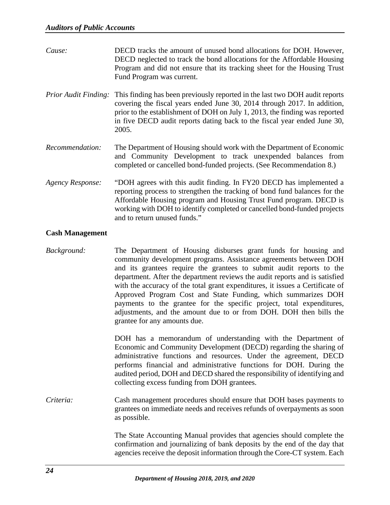| Cause:                      | DECD tracks the amount of unused bond allocations for DOH. However,<br>DECD neglected to track the bond allocations for the Affordable Housing<br>Program and did not ensure that its tracking sheet for the Housing Trust<br>Fund Program was current.                                                                             |
|-----------------------------|-------------------------------------------------------------------------------------------------------------------------------------------------------------------------------------------------------------------------------------------------------------------------------------------------------------------------------------|
| <b>Prior Audit Finding:</b> | This finding has been previously reported in the last two DOH audit reports<br>covering the fiscal years ended June 30, 2014 through 2017. In addition,<br>prior to the establishment of DOH on July 1, 2013, the finding was reported<br>in five DECD audit reports dating back to the fiscal year ended June 30,<br>2005.         |
| Recommendation:             | The Department of Housing should work with the Department of Economic<br>and Community Development to track unexpended balances from<br>completed or cancelled bond-funded projects. (See Recommendation 8.)                                                                                                                        |
| <b>Agency Response:</b>     | "DOH agrees with this audit finding. In FY20 DECD has implemented a<br>reporting process to strengthen the tracking of bond fund balances for the<br>Affordable Housing program and Housing Trust Fund program. DECD is<br>working with DOH to identify completed or cancelled bond-funded projects<br>and to return unused funds." |

# <span id="page-27-0"></span>**Cash Management**

*Background:* The Department of Housing disburses grant funds for housing and community development programs. Assistance agreements between DOH and its grantees require the grantees to submit audit reports to the department. After the department reviews the audit reports and is satisfied with the accuracy of the total grant expenditures, it issues a Certificate of Approved Program Cost and State Funding, which summarizes DOH payments to the grantee for the specific project, total expenditures, adjustments, and the amount due to or from DOH. DOH then bills the grantee for any amounts due.

> DOH has a memorandum of understanding with the Department of Economic and Community Development (DECD) regarding the sharing of administrative functions and resources. Under the agreement, DECD performs financial and administrative functions for DOH. During the audited period, DOH and DECD shared the responsibility of identifying and collecting excess funding from DOH grantees.

*Criteria:* Cash management procedures should ensure that DOH bases payments to grantees on immediate needs and receives refunds of overpayments as soon as possible.

> The State Accounting Manual provides that agencies should complete the confirmation and journalizing of bank deposits by the end of the day that agencies receive the deposit information through the Core-CT system. Each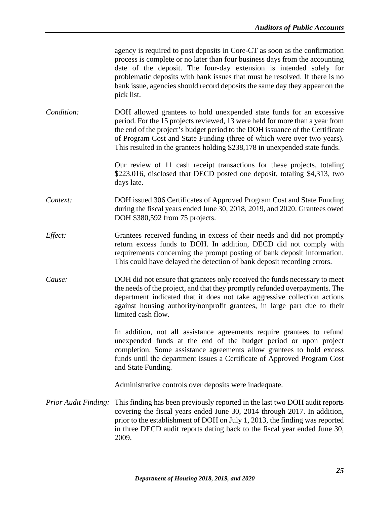| agency is required to post deposits in Core-CT as soon as the confirmation  |
|-----------------------------------------------------------------------------|
| process is complete or no later than four business days from the accounting |
| date of the deposit. The four-day extension is intended solely for          |
| problematic deposits with bank issues that must be resolved. If there is no |
| bank issue, agencies should record deposits the same day they appear on the |
| pick list.                                                                  |

*Condition:* DOH allowed grantees to hold unexpended state funds for an excessive period. For the 15 projects reviewed, 13 were held for more than a year from the end of the project's budget period to the DOH issuance of the Certificate of Program Cost and State Funding (three of which were over two years). This resulted in the grantees holding \$238,178 in unexpended state funds.

> Our review of 11 cash receipt transactions for these projects, totaling \$223,016, disclosed that DECD posted one deposit, totaling \$4,313, two days late.

*Context:* DOH issued 306 Certificates of Approved Program Cost and State Funding during the fiscal years ended June 30, 2018, 2019, and 2020. Grantees owed DOH \$380,592 from 75 projects.

- *Effect:* Grantees received funding in excess of their needs and did not promptly return excess funds to DOH. In addition, DECD did not comply with requirements concerning the prompt posting of bank deposit information. This could have delayed the detection of bank deposit recording errors.
- *Cause:* DOH did not ensure that grantees only received the funds necessary to meet the needs of the project, and that they promptly refunded overpayments. The department indicated that it does not take aggressive collection actions against housing authority/nonprofit grantees, in large part due to their limited cash flow.

In addition, not all assistance agreements require grantees to refund unexpended funds at the end of the budget period or upon project completion. Some assistance agreements allow grantees to hold excess funds until the department issues a Certificate of Approved Program Cost and State Funding.

Administrative controls over deposits were inadequate.

*Prior Audit Finding:* This finding has been previously reported in the last two DOH audit reports covering the fiscal years ended June 30, 2014 through 2017. In addition, prior to the establishment of DOH on July 1, 2013, the finding was reported in three DECD audit reports dating back to the fiscal year ended June 30, 2009.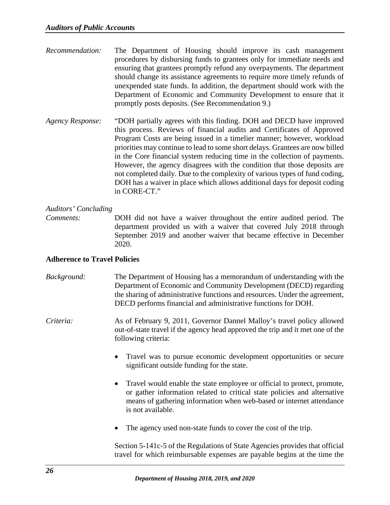- *Recommendation:* The Department of Housing should improve its cash management procedures by disbursing funds to grantees only for immediate needs and ensuring that grantees promptly refund any overpayments. The department should change its assistance agreements to require more timely refunds of unexpended state funds. In addition, the department should work with the Department of Economic and Community Development to ensure that it promptly posts deposits. (See Recommendation 9.)
- *Agency Response:* "DOH partially agrees with this finding. DOH and DECD have improved this process. Reviews of financial audits and Certificates of Approved Program Costs are being issued in a timelier manner; however, workload priorities may continue to lead to some short delays. Grantees are now billed in the Core financial system reducing time in the collection of payments. However, the agency disagrees with the condition that those deposits are not completed daily. Due to the complexity of various types of fund coding, DOH has a waiver in place which allows additional days for deposit coding in CORE-CT."

# *Auditors' Concluding*

*Comments:* DOH did not have a waiver throughout the entire audited period. The department provided us with a waiver that covered July 2018 through September 2019 and another waiver that became effective in December 2020.

#### <span id="page-29-0"></span>**Adherence to Travel Policies**

- *Background:* The Department of Housing has a memorandum of understanding with the Department of Economic and Community Development (DECD) regarding the sharing of administrative functions and resources. Under the agreement, DECD performs financial and administrative functions for DOH.
- *Criteria:* As of February 9, 2011, Governor Dannel Malloy's travel policy allowed out-of-state travel if the agency head approved the trip and it met one of the following criteria:
	- Travel was to pursue economic development opportunities or secure significant outside funding for the state.
	- Travel would enable the state employee or official to protect, promote, or gather information related to critical state policies and alternative means of gathering information when web-based or internet attendance is not available.
	- The agency used non-state funds to cover the cost of the trip.

Section 5-141c-5 of the Regulations of State Agencies provides that official travel for which reimbursable expenses are payable begins at the time the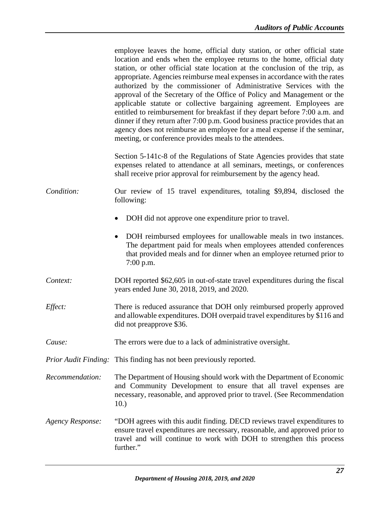|                         | employee leaves the home, official duty station, or other official state<br>location and ends when the employee returns to the home, official duty<br>station, or other official state location at the conclusion of the trip, as<br>appropriate. Agencies reimburse meal expenses in accordance with the rates<br>authorized by the commissioner of Administrative Services with the<br>approval of the Secretary of the Office of Policy and Management or the<br>applicable statute or collective bargaining agreement. Employees are<br>entitled to reimbursement for breakfast if they depart before 7:00 a.m. and<br>dinner if they return after 7:00 p.m. Good business practice provides that an<br>agency does not reimburse an employee for a meal expense if the seminar,<br>meeting, or conference provides meals to the attendees. |
|-------------------------|-------------------------------------------------------------------------------------------------------------------------------------------------------------------------------------------------------------------------------------------------------------------------------------------------------------------------------------------------------------------------------------------------------------------------------------------------------------------------------------------------------------------------------------------------------------------------------------------------------------------------------------------------------------------------------------------------------------------------------------------------------------------------------------------------------------------------------------------------|
|                         | Section 5-141c-8 of the Regulations of State Agencies provides that state<br>expenses related to attendance at all seminars, meetings, or conferences<br>shall receive prior approval for reimbursement by the agency head.                                                                                                                                                                                                                                                                                                                                                                                                                                                                                                                                                                                                                     |
| Condition:              | Our review of 15 travel expenditures, totaling \$9,894, disclosed the<br>following:                                                                                                                                                                                                                                                                                                                                                                                                                                                                                                                                                                                                                                                                                                                                                             |
|                         | DOH did not approve one expenditure prior to travel.<br>$\bullet$                                                                                                                                                                                                                                                                                                                                                                                                                                                                                                                                                                                                                                                                                                                                                                               |
|                         | DOH reimbursed employees for unallowable meals in two instances.<br>$\bullet$<br>The department paid for meals when employees attended conferences<br>that provided meals and for dinner when an employee returned prior to<br>7:00 p.m.                                                                                                                                                                                                                                                                                                                                                                                                                                                                                                                                                                                                        |
| Context:                | DOH reported \$62,605 in out-of-state travel expenditures during the fiscal<br>years ended June 30, 2018, 2019, and 2020.                                                                                                                                                                                                                                                                                                                                                                                                                                                                                                                                                                                                                                                                                                                       |
| Effect:                 | There is reduced assurance that DOH only reimbursed properly approved<br>and allowable expenditures. DOH overpaid travel expenditures by \$116 and<br>did not preapprove \$36.                                                                                                                                                                                                                                                                                                                                                                                                                                                                                                                                                                                                                                                                  |
| Cause:                  | The errors were due to a lack of administrative oversight.                                                                                                                                                                                                                                                                                                                                                                                                                                                                                                                                                                                                                                                                                                                                                                                      |
|                         | <i>Prior Audit Finding:</i> This finding has not been previously reported.                                                                                                                                                                                                                                                                                                                                                                                                                                                                                                                                                                                                                                                                                                                                                                      |
| Recommendation:         | The Department of Housing should work with the Department of Economic<br>and Community Development to ensure that all travel expenses are<br>necessary, reasonable, and approved prior to travel. (See Recommendation<br>10.)                                                                                                                                                                                                                                                                                                                                                                                                                                                                                                                                                                                                                   |
| <b>Agency Response:</b> | "DOH agrees with this audit finding. DECD reviews travel expenditures to<br>ensure travel expenditures are necessary, reasonable, and approved prior to<br>travel and will continue to work with DOH to strengthen this process<br>further."                                                                                                                                                                                                                                                                                                                                                                                                                                                                                                                                                                                                    |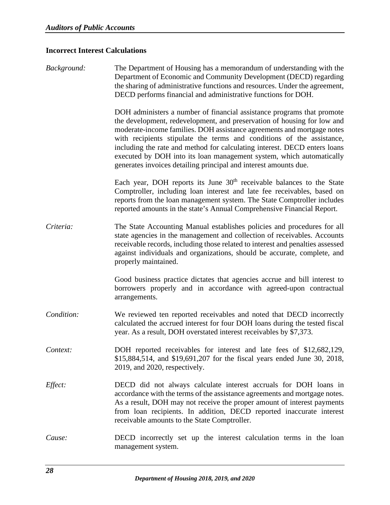# <span id="page-31-0"></span>**Incorrect Interest Calculations**

| Background: | The Department of Housing has a memorandum of understanding with the<br>Department of Economic and Community Development (DECD) regarding<br>the sharing of administrative functions and resources. Under the agreement,<br>DECD performs financial and administrative functions for DOH.                                                                                                                                                                                                                                     |
|-------------|-------------------------------------------------------------------------------------------------------------------------------------------------------------------------------------------------------------------------------------------------------------------------------------------------------------------------------------------------------------------------------------------------------------------------------------------------------------------------------------------------------------------------------|
|             | DOH administers a number of financial assistance programs that promote<br>the development, redevelopment, and preservation of housing for low and<br>moderate-income families. DOH assistance agreements and mortgage notes<br>with recipients stipulate the terms and conditions of the assistance,<br>including the rate and method for calculating interest. DECD enters loans<br>executed by DOH into its loan management system, which automatically<br>generates invoices detailing principal and interest amounts due. |
|             | Each year, DOH reports its June 30 <sup>th</sup> receivable balances to the State<br>Comptroller, including loan interest and late fee receivables, based on<br>reports from the loan management system. The State Comptroller includes<br>reported amounts in the state's Annual Comprehensive Financial Report.                                                                                                                                                                                                             |
| Criteria:   | The State Accounting Manual establishes policies and procedures for all<br>state agencies in the management and collection of receivables. Accounts<br>receivable records, including those related to interest and penalties assessed<br>against individuals and organizations, should be accurate, complete, and<br>properly maintained.                                                                                                                                                                                     |
|             | Good business practice dictates that agencies accrue and bill interest to<br>borrowers properly and in accordance with agreed-upon contractual<br>arrangements.                                                                                                                                                                                                                                                                                                                                                               |
| Condition:  | We reviewed ten reported receivables and noted that DECD incorrectly<br>calculated the accrued interest for four DOH loans during the tested fiscal<br>year. As a result, DOH overstated interest receivables by \$7,373.                                                                                                                                                                                                                                                                                                     |
| Context:    | DOH reported receivables for interest and late fees of \$12,682,129,<br>\$15,884,514, and \$19,691,207 for the fiscal years ended June 30, 2018,<br>2019, and 2020, respectively.                                                                                                                                                                                                                                                                                                                                             |
| Effect:     | DECD did not always calculate interest accruals for DOH loans in<br>accordance with the terms of the assistance agreements and mortgage notes.<br>As a result, DOH may not receive the proper amount of interest payments<br>from loan recipients. In addition, DECD reported inaccurate interest<br>receivable amounts to the State Comptroller.                                                                                                                                                                             |
| Cause:      | DECD incorrectly set up the interest calculation terms in the loan<br>management system.                                                                                                                                                                                                                                                                                                                                                                                                                                      |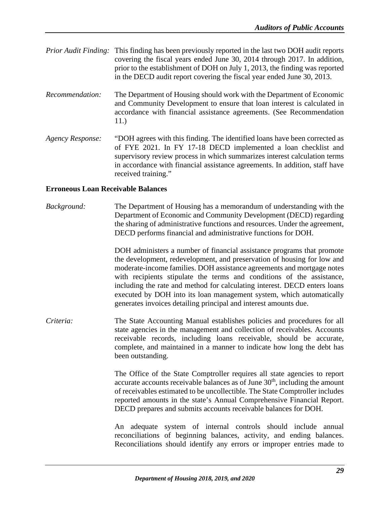| <i>Prior Audit Finding:</i> This finding has been previously reported in the last two DOH audit reports |
|---------------------------------------------------------------------------------------------------------|
| covering the fiscal years ended June 30, 2014 through 2017. In addition,                                |
| prior to the establishment of DOH on July 1, 2013, the finding was reported                             |
| in the DECD audit report covering the fiscal year ended June 30, 2013.                                  |

- *Recommendation:* The Department of Housing should work with the Department of Economic and Community Development to ensure that loan interest is calculated in accordance with financial assistance agreements. (See Recommendation 11.)
- *Agency Response:* "DOH agrees with this finding. The identified loans have been corrected as of FYE 2021. In FY 17-18 DECD implemented a loan checklist and supervisory review process in which summarizes interest calculation terms in accordance with financial assistance agreements. In addition, staff have received training."

#### <span id="page-32-0"></span>**Erroneous Loan Receivable Balances**

*Background:* The Department of Housing has a memorandum of understanding with the Department of Economic and Community Development (DECD) regarding the sharing of administrative functions and resources. Under the agreement, DECD performs financial and administrative functions for DOH.

> DOH administers a number of financial assistance programs that promote the development, redevelopment, and preservation of housing for low and moderate-income families. DOH assistance agreements and mortgage notes with recipients stipulate the terms and conditions of the assistance, including the rate and method for calculating interest. DECD enters loans executed by DOH into its loan management system, which automatically generates invoices detailing principal and interest amounts due.

*Criteria:* The State Accounting Manual establishes policies and procedures for all state agencies in the management and collection of receivables. Accounts receivable records, including loans receivable, should be accurate, complete, and maintained in a manner to indicate how long the debt has been outstanding.

> The Office of the State Comptroller requires all state agencies to report accurate accounts receivable balances as of June  $30<sup>th</sup>$ , including the amount of receivables estimated to be uncollectible. The State Comptroller includes reported amounts in the state's Annual Comprehensive Financial Report. DECD prepares and submits accounts receivable balances for DOH.

> An adequate system of internal controls should include annual reconciliations of beginning balances, activity, and ending balances. Reconciliations should identify any errors or improper entries made to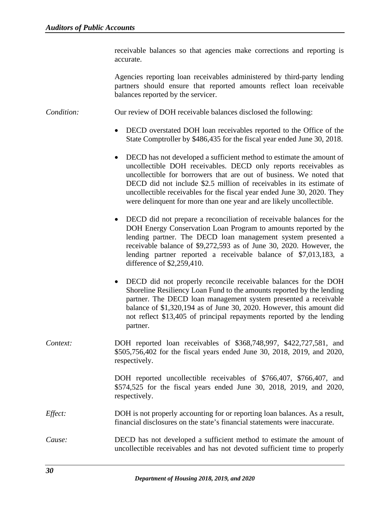receivable balances so that agencies make corrections and reporting is accurate.

Agencies reporting loan receivables administered by third-party lending partners should ensure that reported amounts reflect loan receivable balances reported by the servicer.

*Condition:* Our review of DOH receivable balances disclosed the following:

- DECD overstated DOH loan receivables reported to the Office of the State Comptroller by \$486,435 for the fiscal year ended June 30, 2018.
- DECD has not developed a sufficient method to estimate the amount of uncollectible DOH receivables. DECD only reports receivables as uncollectible for borrowers that are out of business. We noted that DECD did not include \$2.5 million of receivables in its estimate of uncollectible receivables for the fiscal year ended June 30, 2020. They were delinquent for more than one year and are likely uncollectible.
- DECD did not prepare a reconciliation of receivable balances for the DOH Energy Conservation Loan Program to amounts reported by the lending partner. The DECD loan management system presented a receivable balance of \$9,272,593 as of June 30, 2020. However, the lending partner reported a receivable balance of \$7,013,183, a difference of \$2,259,410.
- DECD did not properly reconcile receivable balances for the DOH Shoreline Resiliency Loan Fund to the amounts reported by the lending partner. The DECD loan management system presented a receivable balance of \$1,320,194 as of June 30, 2020. However, this amount did not reflect \$13,405 of principal repayments reported by the lending partner.
- *Context:* DOH reported loan receivables of \$368,748,997, \$422,727,581, and \$505,756,402 for the fiscal years ended June 30, 2018, 2019, and 2020, respectively.

DOH reported uncollectible receivables of \$766,407, \$766,407, and \$574,525 for the fiscal years ended June 30, 2018, 2019, and 2020, respectively.

- *Effect:* DOH is not properly accounting for or reporting loan balances. As a result, financial disclosures on the state's financial statements were inaccurate.
- *Cause:* DECD has not developed a sufficient method to estimate the amount of uncollectible receivables and has not devoted sufficient time to properly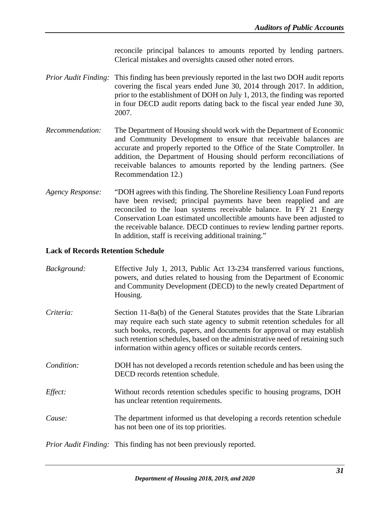reconcile principal balances to amounts reported by lending partners. Clerical mistakes and oversights caused other noted errors.

- *Prior Audit Finding:* This finding has been previously reported in the last two DOH audit reports covering the fiscal years ended June 30, 2014 through 2017. In addition, prior to the establishment of DOH on July 1, 2013, the finding was reported in four DECD audit reports dating back to the fiscal year ended June 30, 2007.
- *Recommendation:* The Department of Housing should work with the Department of Economic and Community Development to ensure that receivable balances are accurate and properly reported to the Office of the State Comptroller. In addition, the Department of Housing should perform reconciliations of receivable balances to amounts reported by the lending partners. (See Recommendation 12.)
- *Agency Response:* "DOH agrees with this finding. The Shoreline Resiliency Loan Fund reports have been revised; principal payments have been reapplied and are reconciled to the loan systems receivable balance. In FY 21 Energy Conservation Loan estimated uncollectible amounts have been adjusted to the receivable balance. DECD continues to review lending partner reports. In addition, staff is receiving additional training."

#### <span id="page-34-0"></span>**Lack of Records Retention Schedule**

| Background: | Effective July 1, 2013, Public Act 13-234 transferred various functions,<br>powers, and duties related to housing from the Department of Economic<br>and Community Development (DECD) to the newly created Department of<br>Housing.                                                                                                                                                 |
|-------------|--------------------------------------------------------------------------------------------------------------------------------------------------------------------------------------------------------------------------------------------------------------------------------------------------------------------------------------------------------------------------------------|
| Criteria:   | Section 11-8a(b) of the General Statutes provides that the State Librarian<br>may require each such state agency to submit retention schedules for all<br>such books, records, papers, and documents for approval or may establish<br>such retention schedules, based on the administrative need of retaining such<br>information within agency offices or suitable records centers. |
| Condition:  | DOH has not developed a records retention schedule and has been using the<br>DECD records retention schedule.                                                                                                                                                                                                                                                                        |
| Effect:     | Without records retention schedules specific to housing programs, DOH<br>has unclear retention requirements.                                                                                                                                                                                                                                                                         |
| Cause:      | The department informed us that developing a records retention schedule<br>has not been one of its top priorities.                                                                                                                                                                                                                                                                   |
|             | <i>Prior Audit Finding:</i> This finding has not been previously reported.                                                                                                                                                                                                                                                                                                           |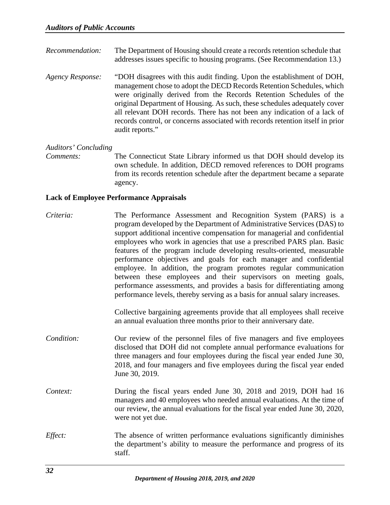- *Recommendation:* The Department of Housing should create a records retention schedule that addresses issues specific to housing programs. (See Recommendation 13.)
- *Agency Response:* "DOH disagrees with this audit finding. Upon the establishment of DOH, management chose to adopt the DECD Records Retention Schedules, which were originally derived from the Records Retention Schedules of the original Department of Housing. As such, these schedules adequately cover all relevant DOH records. There has not been any indication of a lack of records control, or concerns associated with records retention itself in prior audit reports."

#### *Auditors' Concluding*

*Comments:* The Connecticut State Library informed us that DOH should develop its own schedule. In addition, DECD removed references to DOH programs from its records retention schedule after the department became a separate agency.

#### <span id="page-35-0"></span>**Lack of Employee Performance Appraisals**

*Criteria:* The Performance Assessment and Recognition System (PARS) is a program developed by the Department of Administrative Services (DAS) to support additional incentive compensation for managerial and confidential employees who work in agencies that use a prescribed PARS plan. Basic features of the program include developing results-oriented, measurable performance objectives and goals for each manager and confidential employee. In addition, the program promotes regular communication between these employees and their supervisors on meeting goals, performance assessments, and provides a basis for differentiating among performance levels, thereby serving as a basis for annual salary increases.

> Collective bargaining agreements provide that all employees shall receive an annual evaluation three months prior to their anniversary date.

- *Condition:* Our review of the personnel files of five managers and five employees disclosed that DOH did not complete annual performance evaluations for three managers and four employees during the fiscal year ended June 30, 2018, and four managers and five employees during the fiscal year ended June 30, 2019.
- *Context:* During the fiscal years ended June 30, 2018 and 2019, DOH had 16 managers and 40 employees who needed annual evaluations. At the time of our review, the annual evaluations for the fiscal year ended June 30, 2020, were not yet due.
- *Effect:* The absence of written performance evaluations significantly diminishes the department's ability to measure the performance and progress of its staff.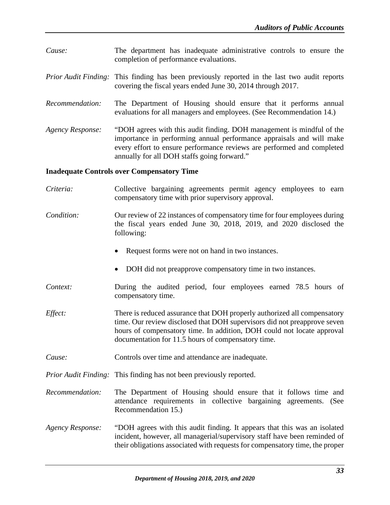- *Cause:* The department has inadequate administrative controls to ensure the completion of performance evaluations.
- *Prior Audit Finding:* This finding has been previously reported in the last two audit reports covering the fiscal years ended June 30, 2014 through 2017.
- *Recommendation:* The Department of Housing should ensure that it performs annual evaluations for all managers and employees. (See Recommendation 14.)
- *Agency Response:* "DOH agrees with this audit finding. DOH management is mindful of the importance in performing annual performance appraisals and will make every effort to ensure performance reviews are performed and completed annually for all DOH staffs going forward."

#### <span id="page-36-0"></span>**Inadequate Controls over Compensatory Time**

- *Criteria:* Collective bargaining agreements permit agency employees to earn compensatory time with prior supervisory approval. *Condition:* Our review of 22 instances of compensatory time for four employees during the fiscal years ended June 30, 2018, 2019, and 2020 disclosed the following:
	- Request forms were not on hand in two instances.
	- DOH did not preapprove compensatory time in two instances.
- *Context:* During the audited period, four employees earned 78.5 hours of compensatory time.
- *Effect:* There is reduced assurance that DOH properly authorized all compensatory time. Our review disclosed that DOH supervisors did not preapprove seven hours of compensatory time. In addition, DOH could not locate approval documentation for 11.5 hours of compensatory time.
- *Cause:* Controls over time and attendance are inadequate.

*Prior Audit Finding:* This finding has not been previously reported.

- *Recommendation:* The Department of Housing should ensure that it follows time and attendance requirements in collective bargaining agreements. (See Recommendation 15.)
- *Agency Response:* "DOH agrees with this audit finding. It appears that this was an isolated incident, however, all managerial/supervisory staff have been reminded of their obligations associated with requests for compensatory time, the proper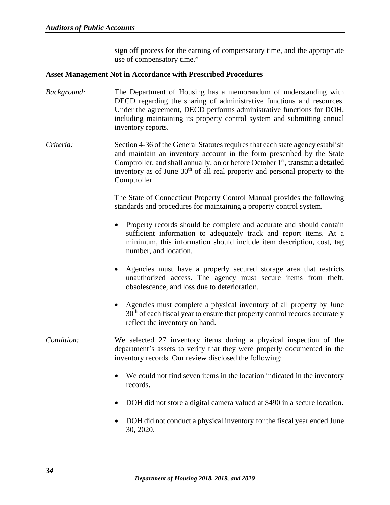sign off process for the earning of compensatory time, and the appropriate use of compensatory time."

#### <span id="page-37-0"></span>**Asset Management Not in Accordance with Prescribed Procedures**

- *Background:* The Department of Housing has a memorandum of understanding with DECD regarding the sharing of administrative functions and resources. Under the agreement, DECD performs administrative functions for DOH, including maintaining its property control system and submitting annual inventory reports.
- *Criteria:* Section 4-36 of the General Statutes requires that each state agency establish and maintain an inventory account in the form prescribed by the State Comptroller, and shall annually, on or before October 1<sup>st</sup>, transmit a detailed inventory as of June 30<sup>th</sup> of all real property and personal property to the Comptroller.

The State of Connecticut Property Control Manual provides the following standards and procedures for maintaining a property control system.

- Property records should be complete and accurate and should contain sufficient information to adequately track and report items. At a minimum, this information should include item description, cost, tag number, and location.
- Agencies must have a properly secured storage area that restricts unauthorized access. The agency must secure items from theft, obsolescence, and loss due to deterioration.
- Agencies must complete a physical inventory of all property by June 30<sup>th</sup> of each fiscal year to ensure that property control records accurately reflect the inventory on hand.

# *Condition:* We selected 27 inventory items during a physical inspection of the department's assets to verify that they were properly documented in the inventory records. Our review disclosed the following:

- We could not find seven items in the location indicated in the inventory records.
- DOH did not store a digital camera valued at \$490 in a secure location.
- DOH did not conduct a physical inventory for the fiscal year ended June 30, 2020.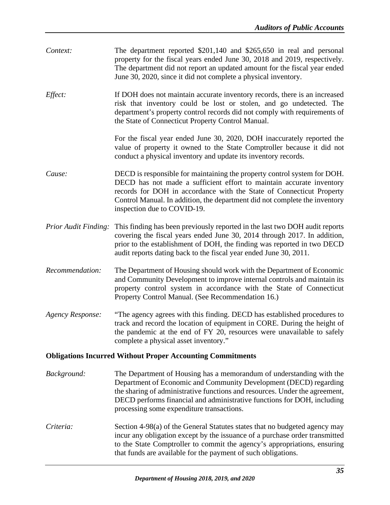<span id="page-38-0"></span>

| Context:                                                          | The department reported $$201,140$ and $$265,650$ in real and personal<br>property for the fiscal years ended June 30, 2018 and 2019, respectively.<br>The department did not report an updated amount for the fiscal year ended<br>June 30, 2020, since it did not complete a physical inventory.                                               |  |
|-------------------------------------------------------------------|--------------------------------------------------------------------------------------------------------------------------------------------------------------------------------------------------------------------------------------------------------------------------------------------------------------------------------------------------|--|
| Effect:                                                           | If DOH does not maintain accurate inventory records, there is an increased<br>risk that inventory could be lost or stolen, and go undetected. The<br>department's property control records did not comply with requirements of<br>the State of Connecticut Property Control Manual.                                                              |  |
|                                                                   | For the fiscal year ended June 30, 2020, DOH inaccurately reported the<br>value of property it owned to the State Comptroller because it did not<br>conduct a physical inventory and update its inventory records.                                                                                                                               |  |
| Cause:                                                            | DECD is responsible for maintaining the property control system for DOH.<br>DECD has not made a sufficient effort to maintain accurate inventory<br>records for DOH in accordance with the State of Connecticut Property<br>Control Manual. In addition, the department did not complete the inventory<br>inspection due to COVID-19.            |  |
| <b>Prior Audit Finding:</b>                                       | This finding has been previously reported in the last two DOH audit reports<br>covering the fiscal years ended June 30, 2014 through 2017. In addition,<br>prior to the establishment of DOH, the finding was reported in two DECD<br>audit reports dating back to the fiscal year ended June 30, 2011.                                          |  |
| Recommendation:                                                   | The Department of Housing should work with the Department of Economic<br>and Community Development to improve internal controls and maintain its<br>property control system in accordance with the State of Connecticut<br>Property Control Manual. (See Recommendation 16.)                                                                     |  |
| Agency Response:                                                  | "The agency agrees with this finding. DECD has established procedures to<br>track and record the location of equipment in CORE. During the height of<br>the pandemic at the end of FY 20, resources were unavailable to safely<br>complete a physical asset inventory."                                                                          |  |
| <b>Obligations Incurred Without Proper Accounting Commitments</b> |                                                                                                                                                                                                                                                                                                                                                  |  |
| Background:                                                       | The Department of Housing has a memorandum of understanding with the<br>Department of Economic and Community Development (DECD) regarding<br>the sharing of administrative functions and resources. Under the agreement,<br>DECD performs financial and administrative functions for DOH, including<br>processing some expenditure transactions. |  |
| Criteria:                                                         | Section 4-98(a) of the General Statutes states that no budgeted agency may<br>incur any obligation except by the issuance of a purchase order transmitted<br>to the State Comptroller to commit the agency's appropriations, ensuring<br>that funds are available for the payment of such obligations.                                           |  |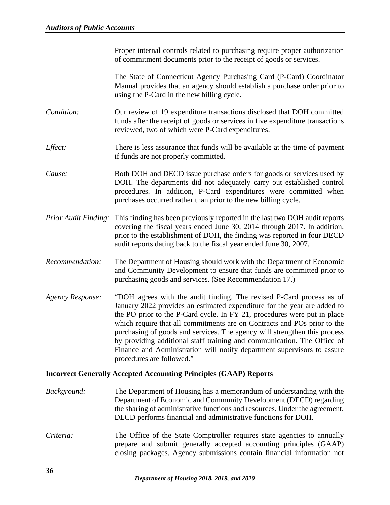Proper internal controls related to purchasing require proper authorization of commitment documents prior to the receipt of goods or services.

The State of Connecticut Agency Purchasing Card (P-Card) Coordinator Manual provides that an agency should establish a purchase order prior to using the P-Card in the new billing cycle.

- *Condition:* Our review of 19 expenditure transactions disclosed that DOH committed funds after the receipt of goods or services in five expenditure transactions reviewed, two of which were P-Card expenditures.
- *Effect:* There is less assurance that funds will be available at the time of payment if funds are not properly committed.
- *Cause:* Both DOH and DECD issue purchase orders for goods or services used by DOH. The departments did not adequately carry out established control procedures. In addition, P-Card expenditures were committed when purchases occurred rather than prior to the new billing cycle.
- *Prior Audit Finding:* This finding has been previously reported in the last two DOH audit reports covering the fiscal years ended June 30, 2014 through 2017. In addition, prior to the establishment of DOH, the finding was reported in four DECD audit reports dating back to the fiscal year ended June 30, 2007.
- *Recommendation:* The Department of Housing should work with the Department of Economic and Community Development to ensure that funds are committed prior to purchasing goods and services. (See Recommendation 17.)
- *Agency Response:* "DOH agrees with the audit finding. The revised P-Card process as of January 2022 provides an estimated expenditure for the year are added to the PO prior to the P-Card cycle. In FY 21, procedures were put in place which require that all commitments are on Contracts and POs prior to the purchasing of goods and services. The agency will strengthen this process by providing additional staff training and communication. The Office of Finance and Administration will notify department supervisors to assure procedures are followed."

#### <span id="page-39-0"></span>**Incorrect Generally Accepted Accounting Principles (GAAP) Reports**

- *Background:* The Department of Housing has a memorandum of understanding with the Department of Economic and Community Development (DECD) regarding the sharing of administrative functions and resources. Under the agreement, DECD performs financial and administrative functions for DOH.
- *Criteria:* The Office of the State Comptroller requires state agencies to annually prepare and submit generally accepted accounting principles (GAAP) closing packages. Agency submissions contain financial information not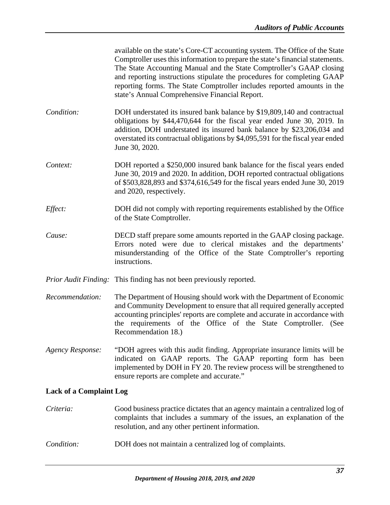|                                | available on the state's Core-CT accounting system. The Office of the State<br>Comptroller uses this information to prepare the state's financial statements.<br>The State Accounting Manual and the State Comptroller's GAAP closing<br>and reporting instructions stipulate the procedures for completing GAAP<br>reporting forms. The State Comptroller includes reported amounts in the<br>state's Annual Comprehensive Financial Report. |
|--------------------------------|-----------------------------------------------------------------------------------------------------------------------------------------------------------------------------------------------------------------------------------------------------------------------------------------------------------------------------------------------------------------------------------------------------------------------------------------------|
| Condition:                     | DOH understated its insured bank balance by \$19,809,140 and contractual<br>obligations by \$44,470,644 for the fiscal year ended June 30, 2019. In<br>addition, DOH understated its insured bank balance by \$23,206,034 and<br>overstated its contractual obligations by \$4,095,591 for the fiscal year ended<br>June 30, 2020.                                                                                                            |
| Context:                       | DOH reported a \$250,000 insured bank balance for the fiscal years ended<br>June 30, 2019 and 2020. In addition, DOH reported contractual obligations<br>of \$503,828,893 and \$374,616,549 for the fiscal years ended June 30, 2019<br>and 2020, respectively.                                                                                                                                                                               |
| Effect:                        | DOH did not comply with reporting requirements established by the Office<br>of the State Comptroller.                                                                                                                                                                                                                                                                                                                                         |
| Cause:                         | DECD staff prepare some amounts reported in the GAAP closing package.<br>Errors noted were due to clerical mistakes and the departments'<br>misunderstanding of the Office of the State Comptroller's reporting<br>instructions.                                                                                                                                                                                                              |
|                                | <i>Prior Audit Finding:</i> This finding has not been previously reported.                                                                                                                                                                                                                                                                                                                                                                    |
| Recommendation:                | The Department of Housing should work with the Department of Economic<br>and Community Development to ensure that all required generally accepted<br>accounting principles' reports are complete and accurate in accordance with<br>the requirements of the Office of the State Comptroller. (See<br>Recommendation 18.)                                                                                                                      |
| <b>Agency Response:</b>        | "DOH agrees with this audit finding. Appropriate insurance limits will be<br>indicated on GAAP reports. The GAAP reporting form has been<br>implemented by DOH in FY 20. The review process will be strengthened to<br>ensure reports are complete and accurate."                                                                                                                                                                             |
| <b>Lack of a Complaint Log</b> |                                                                                                                                                                                                                                                                                                                                                                                                                                               |
| Criteria:                      | Good business practice dictates that an agency maintain a centralized log of<br>complaints that includes a summary of the issues, an explanation of the<br>resolution, and any other pertinent information.                                                                                                                                                                                                                                   |

<span id="page-40-0"></span>*Condition:* DOH does not maintain a centralized log of complaints.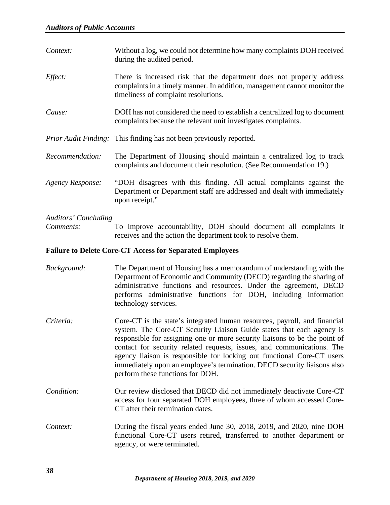| Context:                    | Without a log, we could not determine how many complaints DOH received<br>during the audited period.                                                                                       |
|-----------------------------|--------------------------------------------------------------------------------------------------------------------------------------------------------------------------------------------|
| Effect:                     | There is increased risk that the department does not properly address<br>complaints in a timely manner. In addition, management cannot monitor the<br>timeliness of complaint resolutions. |
| Cause:                      | DOH has not considered the need to establish a centralized log to document<br>complaints because the relevant unit investigates complaints.                                                |
|                             | <i>Prior Audit Finding:</i> This finding has not been previously reported.                                                                                                                 |
| Recommendation:             | The Department of Housing should maintain a centralized log to track<br>complaints and document their resolution. (See Recommendation 19.)                                                 |
| <b>Agency Response:</b>     | "DOH disagrees with this finding. All actual complaints against the<br>Department or Department staff are addressed and dealt with immediately<br>upon receipt."                           |
| <b>Auditors' Concluding</b> |                                                                                                                                                                                            |

*Comments:* To improve accountability, DOH should document all complaints it receives and the action the department took to resolve them.

# <span id="page-41-0"></span>**Failure to Delete Core-CT Access for Separated Employees**

- *Background:* The Department of Housing has a memorandum of understanding with the Department of Economic and Community (DECD) regarding the sharing of administrative functions and resources. Under the agreement, DECD performs administrative functions for DOH, including information technology services.
- *Criteria:* Core-CT is the state's integrated human resources, payroll, and financial system. The Core-CT Security Liaison Guide states that each agency is responsible for assigning one or more security liaisons to be the point of contact for security related requests, issues, and communications. The agency liaison is responsible for locking out functional Core-CT users immediately upon an employee's termination. DECD security liaisons also perform these functions for DOH.
- *Condition:* Our review disclosed that DECD did not immediately deactivate Core-CT access for four separated DOH employees, three of whom accessed Core-CT after their termination dates.
- *Context:* During the fiscal years ended June 30, 2018, 2019, and 2020, nine DOH functional Core-CT users retired, transferred to another department or agency, or were terminated.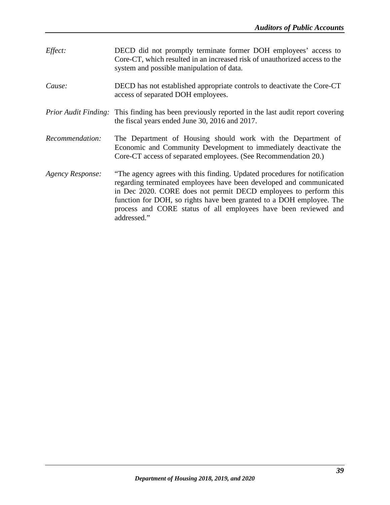*Effect:* DECD did not promptly terminate former DOH employees' access to Core-CT, which resulted in an increased risk of unauthorized access to the system and possible manipulation of data. *Cause:* DECD has not established appropriate controls to deactivate the Core-CT access of separated DOH employees. *Prior Audit Finding:* This finding has been previously reported in the last audit report covering the fiscal years ended June 30, 2016 and 2017. *Recommendation:* The Department of Housing should work with the Department of Economic and Community Development to immediately deactivate the Core-CT access of separated employees. (See Recommendation 20.) *Agency Response:* "The agency agrees with this finding. Updated procedures for notification regarding terminated employees have been developed and communicated in Dec 2020. CORE does not permit DECD employees to perform this function for DOH, so rights have been granted to a DOH employee. The process and CORE status of all employees have been reviewed and addressed."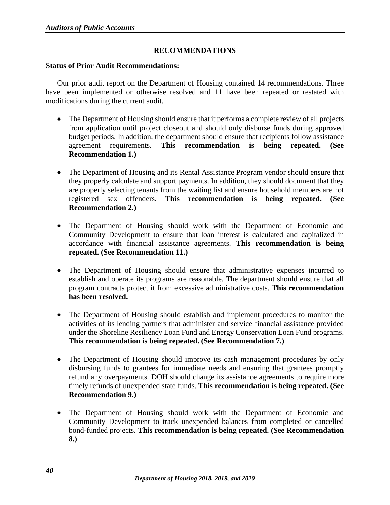# **RECOMMENDATIONS**

#### <span id="page-43-1"></span><span id="page-43-0"></span>**Status of Prior Audit Recommendations:**

Our prior audit report on the Department of Housing contained 14 recommendations. Three have been implemented or otherwise resolved and 11 have been repeated or restated with modifications during the current audit.

- The Department of Housing should ensure that it performs a complete review of all projects from application until project closeout and should only disburse funds during approved budget periods. In addition, the department should ensure that recipients follow assistance agreement requirements. **This recommendation is being repeated. (See Recommendation 1.)**
- The Department of Housing and its Rental Assistance Program vendor should ensure that they properly calculate and support payments. In addition, they should document that they are properly selecting tenants from the waiting list and ensure household members are not registered sex offenders. **This recommendation is being repeated. (See Recommendation 2.)**
- The Department of Housing should work with the Department of Economic and Community Development to ensure that loan interest is calculated and capitalized in accordance with financial assistance agreements. **This recommendation is being repeated. (See Recommendation 11.)**
- The Department of Housing should ensure that administrative expenses incurred to establish and operate its programs are reasonable. The department should ensure that all program contracts protect it from excessive administrative costs. **This recommendation has been resolved.**
- The Department of Housing should establish and implement procedures to monitor the activities of its lending partners that administer and service financial assistance provided under the Shoreline Resiliency Loan Fund and Energy Conservation Loan Fund programs. **This recommendation is being repeated. (See Recommendation 7.)**
- The Department of Housing should improve its cash management procedures by only disbursing funds to grantees for immediate needs and ensuring that grantees promptly refund any overpayments. DOH should change its assistance agreements to require more timely refunds of unexpended state funds. **This recommendation is being repeated. (See Recommendation 9.)**
- The Department of Housing should work with the Department of Economic and Community Development to track unexpended balances from completed or cancelled bond-funded projects. **This recommendation is being repeated. (See Recommendation 8.)**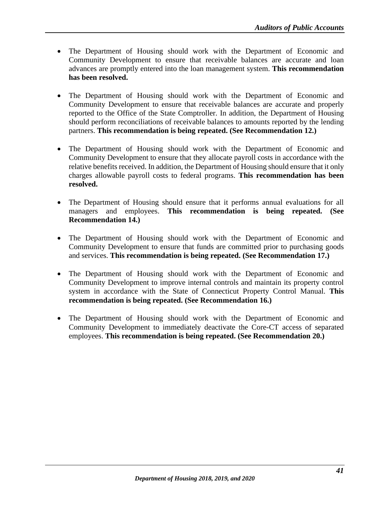- The Department of Housing should work with the Department of Economic and Community Development to ensure that receivable balances are accurate and loan advances are promptly entered into the loan management system. **This recommendation has been resolved.**
- The Department of Housing should work with the Department of Economic and Community Development to ensure that receivable balances are accurate and properly reported to the Office of the State Comptroller. In addition, the Department of Housing should perform reconciliations of receivable balances to amounts reported by the lending partners. **This recommendation is being repeated. (See Recommendation 12.)**
- The Department of Housing should work with the Department of Economic and Community Development to ensure that they allocate payroll costs in accordance with the relative benefits received. In addition, the Department of Housing should ensure that it only charges allowable payroll costs to federal programs. **This recommendation has been resolved.**
- The Department of Housing should ensure that it performs annual evaluations for all managers and employees. **This recommendation is being repeated. (See Recommendation 14.)**
- The Department of Housing should work with the Department of Economic and Community Development to ensure that funds are committed prior to purchasing goods and services. **This recommendation is being repeated. (See Recommendation 17.)**
- The Department of Housing should work with the Department of Economic and Community Development to improve internal controls and maintain its property control system in accordance with the State of Connecticut Property Control Manual. **This recommendation is being repeated. (See Recommendation 16.)**
- The Department of Housing should work with the Department of Economic and Community Development to immediately deactivate the Core-CT access of separated employees. **This recommendation is being repeated. (See Recommendation 20.)**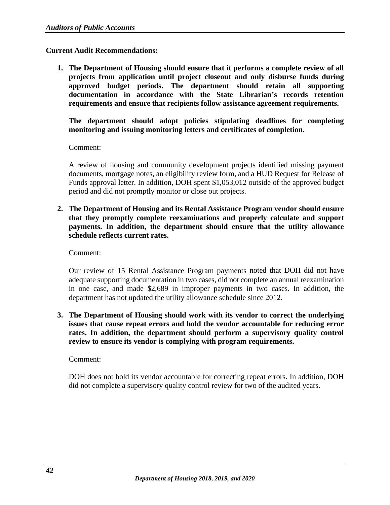# <span id="page-45-0"></span>**Current Audit Recommendations:**

**1. The Department of Housing should ensure that it performs a complete review of all projects from application until project closeout and only disburse funds during approved budget periods. The department should retain all supporting documentation in accordance with the State Librarian's records retention requirements and ensure that recipients follow assistance agreement requirements.**

**The department should adopt policies stipulating deadlines for completing monitoring and issuing monitoring letters and certificates of completion.**

Comment:

A review of housing and community development projects identified missing payment documents, mortgage notes, an eligibility review form, and a HUD Request for Release of Funds approval letter. In addition, DOH spent \$1,053,012 outside of the approved budget period and did not promptly monitor or close out projects.

**2. The Department of Housing and its Rental Assistance Program vendor should ensure that they promptly complete reexaminations and properly calculate and support payments. In addition, the department should ensure that the utility allowance schedule reflects current rates.**

Comment:

Our review of 15 Rental Assistance Program payments noted that DOH did not have adequate supporting documentation in two cases, did not complete an annual reexamination in one case, and made \$2,689 in improper payments in two cases. In addition, the department has not updated the utility allowance schedule since 2012.

**3. The Department of Housing should work with its vendor to correct the underlying issues that cause repeat errors and hold the vendor accountable for reducing error rates. In addition, the department should perform a supervisory quality control review to ensure its vendor is complying with program requirements.**

Comment:

DOH does not hold its vendor accountable for correcting repeat errors. In addition, DOH did not complete a supervisory quality control review for two of the audited years.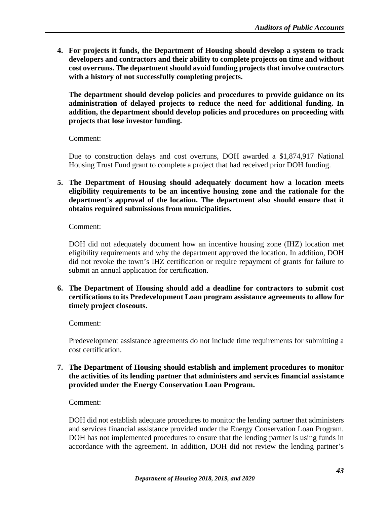**4. For projects it funds, the Department of Housing should develop a system to track developers and contractors and their ability to complete projects on time and without cost overruns. The department should avoid funding projects that involve contractors with a history of not successfully completing projects.**

**The department should develop policies and procedures to provide guidance on its administration of delayed projects to reduce the need for additional funding. In addition, the department should develop policies and procedures on proceeding with projects that lose investor funding.**

Comment:

Due to construction delays and cost overruns, DOH awarded a \$1,874,917 National Housing Trust Fund grant to complete a project that had received prior DOH funding.

**5. The Department of Housing should adequately document how a location meets eligibility requirements to be an incentive housing zone and the rationale for the department's approval of the location. The department also should ensure that it obtains required submissions from municipalities.**

Comment:

DOH did not adequately document how an incentive housing zone (IHZ) location met eligibility requirements and why the department approved the location. In addition, DOH did not revoke the town's IHZ certification or require repayment of grants for failure to submit an annual application for certification.

**6. The Department of Housing should add a deadline for contractors to submit cost certifications to its Predevelopment Loan program assistance agreements to allow for timely project closeouts.**

Comment:

Predevelopment assistance agreements do not include time requirements for submitting a cost certification.

**7. The Department of Housing should establish and implement procedures to monitor the activities of its lending partner that administers and services financial assistance provided under the Energy Conservation Loan Program.**

Comment:

DOH did not establish adequate procedures to monitor the lending partner that administers and services financial assistance provided under the Energy Conservation Loan Program. DOH has not implemented procedures to ensure that the lending partner is using funds in accordance with the agreement. In addition, DOH did not review the lending partner's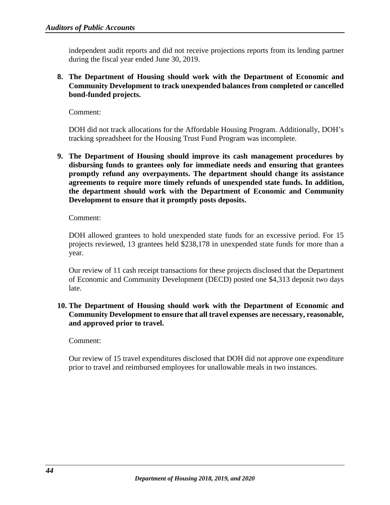independent audit reports and did not receive projections reports from its lending partner during the fiscal year ended June 30, 2019.

# **8. The Department of Housing should work with the Department of Economic and Community Development to track unexpended balances from completed or cancelled bond-funded projects.**

Comment:

DOH did not track allocations for the Affordable Housing Program. Additionally, DOH's tracking spreadsheet for the Housing Trust Fund Program was incomplete.

**9. The Department of Housing should improve its cash management procedures by disbursing funds to grantees only for immediate needs and ensuring that grantees promptly refund any overpayments. The department should change its assistance agreements to require more timely refunds of unexpended state funds. In addition, the department should work with the Department of Economic and Community Development to ensure that it promptly posts deposits.**

Comment:

DOH allowed grantees to hold unexpended state funds for an excessive period. For 15 projects reviewed, 13 grantees held \$238,178 in unexpended state funds for more than a year.

Our review of 11 cash receipt transactions for these projects disclosed that the Department of Economic and Community Development (DECD) posted one \$4,313 deposit two days late.

**10. The Department of Housing should work with the Department of Economic and Community Development to ensure that all travel expenses are necessary, reasonable, and approved prior to travel.**

Comment:

Our review of 15 travel expenditures disclosed that DOH did not approve one expenditure prior to travel and reimbursed employees for unallowable meals in two instances.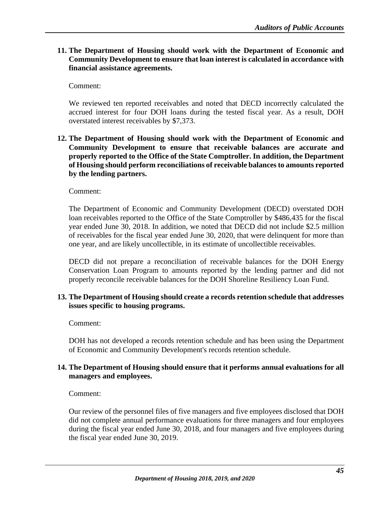**11. The Department of Housing should work with the Department of Economic and Community Development to ensure that loan interest is calculated in accordance with financial assistance agreements.**

Comment:

We reviewed ten reported receivables and noted that DECD incorrectly calculated the accrued interest for four DOH loans during the tested fiscal year. As a result, DOH overstated interest receivables by \$7,373.

**12. The Department of Housing should work with the Department of Economic and Community Development to ensure that receivable balances are accurate and properly reported to the Office of the State Comptroller. In addition, the Department of Housing should perform reconciliations of receivable balances to amounts reported by the lending partners.**

Comment:

The Department of Economic and Community Development (DECD) overstated DOH loan receivables reported to the Office of the State Comptroller by \$486,435 for the fiscal year ended June 30, 2018. In addition, we noted that DECD did not include \$2.5 million of receivables for the fiscal year ended June 30, 2020, that were delinquent for more than one year, and are likely uncollectible, in its estimate of uncollectible receivables.

DECD did not prepare a reconciliation of receivable balances for the DOH Energy Conservation Loan Program to amounts reported by the lending partner and did not properly reconcile receivable balances for the DOH Shoreline Resiliency Loan Fund.

#### **13. The Department of Housing should create a records retention schedule that addresses issues specific to housing programs.**

Comment:

DOH has not developed a records retention schedule and has been using the Department of Economic and Community Development's records retention schedule.

# **14. The Department of Housing should ensure that it performs annual evaluations for all managers and employees.**

Comment:

Our review of the personnel files of five managers and five employees disclosed that DOH did not complete annual performance evaluations for three managers and four employees during the fiscal year ended June 30, 2018, and four managers and five employees during the fiscal year ended June 30, 2019.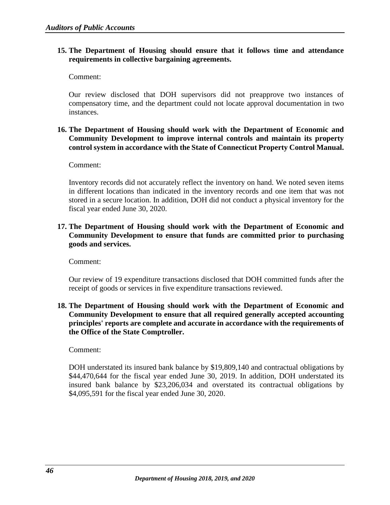# **15. The Department of Housing should ensure that it follows time and attendance requirements in collective bargaining agreements.**

Comment:

Our review disclosed that DOH supervisors did not preapprove two instances of compensatory time, and the department could not locate approval documentation in two instances.

# **16. The Department of Housing should work with the Department of Economic and Community Development to improve internal controls and maintain its property control system in accordance with the State of Connecticut Property Control Manual.**

Comment:

Inventory records did not accurately reflect the inventory on hand. We noted seven items in different locations than indicated in the inventory records and one item that was not stored in a secure location. In addition, DOH did not conduct a physical inventory for the fiscal year ended June 30, 2020.

# **17. The Department of Housing should work with the Department of Economic and Community Development to ensure that funds are committed prior to purchasing goods and services.**

Comment:

Our review of 19 expenditure transactions disclosed that DOH committed funds after the receipt of goods or services in five expenditure transactions reviewed.

**18. The Department of Housing should work with the Department of Economic and Community Development to ensure that all required generally accepted accounting principles' reports are complete and accurate in accordance with the requirements of the Office of the State Comptroller.**

Comment:

DOH understated its insured bank balance by \$19,809,140 and contractual obligations by \$44,470,644 for the fiscal year ended June 30, 2019. In addition, DOH understated its insured bank balance by \$23,206,034 and overstated its contractual obligations by \$4,095,591 for the fiscal year ended June 30, 2020.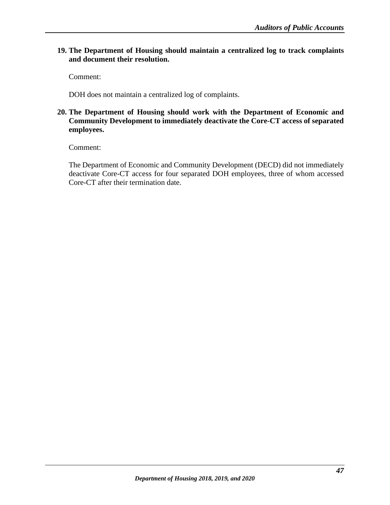# **19. The Department of Housing should maintain a centralized log to track complaints and document their resolution.**

Comment:

DOH does not maintain a centralized log of complaints.

# **20. The Department of Housing should work with the Department of Economic and Community Development to immediately deactivate the Core-CT access of separated employees.**

Comment:

The Department of Economic and Community Development (DECD) did not immediately deactivate Core-CT access for four separated DOH employees, three of whom accessed Core-CT after their termination date.